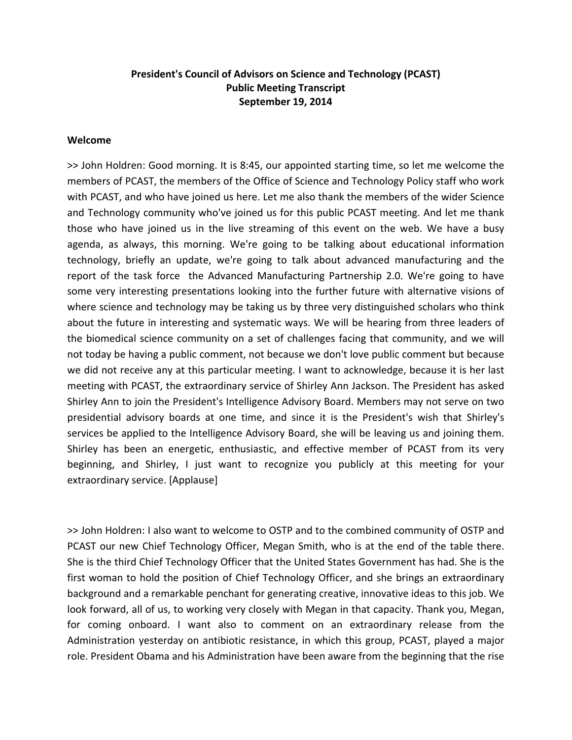# **President's Council of Advisors on Science and Technology (PCAST) Public Meeting Transcript September 19, 2014**

#### **Welcome**

>> John Holdren: Good morning. It is 8:45, our appointed starting time, so let me welcome the members of PCAST, the members of the Office of Science and Technology Policy staff who work with PCAST, and who have joined us here. Let me also thank the members of the wider Science and Technology community who've joined us for this public PCAST meeting. And let me thank those who have joined us in the live streaming of this event on the web. We have a busy agenda, as always, this morning. We're going to be talking about educational information technology, briefly an update, we're going to talk about advanced manufacturing and the report of the task force the Advanced Manufacturing Partnership 2.0. We're going to have some very interesting presentations looking into the further future with alternative visions of where science and technology may be taking us by three very distinguished scholars who think about the future in interesting and systematic ways. We will be hearing from three leaders of the biomedical science community on a set of challenges facing that community, and we will not today be having a public comment, not because we don't love public comment but because we did not receive any at this particular meeting. I want to acknowledge, because it is her last meeting with PCAST, the extraordinary service of Shirley Ann Jackson. The President has asked Shirley Ann to join the President's Intelligence Advisory Board. Members may not serve on two presidential advisory boards at one time, and since it is the President's wish that Shirley's services be applied to the Intelligence Advisory Board, she will be leaving us and joining them. Shirley has been an energetic, enthusiastic, and effective member of PCAST from its very beginning, and Shirley, I just want to recognize you publicly at this meeting for your extraordinary service. [Applause]

>> John Holdren: I also want to welcome to OSTP and to the combined community of OSTP and PCAST our new Chief Technology Officer, Megan Smith, who is at the end of the table there. She is the third Chief Technology Officer that the United States Government has had. She is the first woman to hold the position of Chief Technology Officer, and she brings an extraordinary background and a remarkable penchant for generating creative, innovative ideas to this job. We look forward, all of us, to working very closely with Megan in that capacity. Thank you, Megan, for coming onboard. I want also to comment on an extraordinary release from the Administration yesterday on antibiotic resistance, in which this group, PCAST, played a major role. President Obama and his Administration have been aware from the beginning that the rise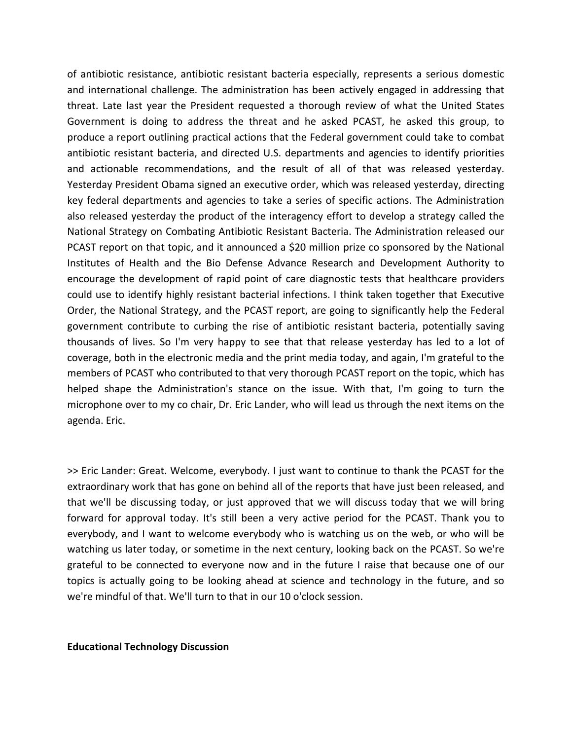of antibiotic resistance, antibiotic resistant bacteria especially, represents a serious domestic and international challenge. The administration has been actively engaged in addressing that threat. Late last year the President requested a thorough review of what the United States Government is doing to address the threat and he asked PCAST, he asked this group, to produce a report outlining practical actions that the Federal government could take to combat antibiotic resistant bacteria, and directed U.S. departments and agencies to identify priorities and actionable recommendations, and the result of all of that was released yesterday. Yesterday President Obama signed an executive order, which was released yesterday, directing key federal departments and agencies to take a series of specific actions. The Administration also released yesterday the product of the interagency effort to develop a strategy called the National Strategy on Combating Antibiotic Resistant Bacteria. The Administration released our PCAST report on that topic, and it announced a \$20 million prize co sponsored by the National Institutes of Health and the Bio Defense Advance Research and Development Authority to encourage the development of rapid point of care diagnostic tests that healthcare providers could use to identify highly resistant bacterial infections. I think taken together that Executive Order, the National Strategy, and the PCAST report, are going to significantly help the Federal government contribute to curbing the rise of antibiotic resistant bacteria, potentially saving thousands of lives. So I'm very happy to see that that release yesterday has led to a lot of coverage, both in the electronic media and the print media today, and again, I'm grateful to the members of PCAST who contributed to that very thorough PCAST report on the topic, which has helped shape the Administration's stance on the issue. With that, I'm going to turn the microphone over to my co chair, Dr. Eric Lander, who will lead us through the next items on the agenda. Eric.

>> Eric Lander: Great. Welcome, everybody. I just want to continue to thank the PCAST for the extraordinary work that has gone on behind all of the reports that have just been released, and that we'll be discussing today, or just approved that we will discuss today that we will bring forward for approval today. It's still been a very active period for the PCAST. Thank you to everybody, and I want to welcome everybody who is watching us on the web, or who will be watching us later today, or sometime in the next century, looking back on the PCAST. So we're grateful to be connected to everyone now and in the future I raise that because one of our topics is actually going to be looking ahead at science and technology in the future, and so we're mindful of that. We'll turn to that in our 10 o'clock session.

**Educational Technology Discussion**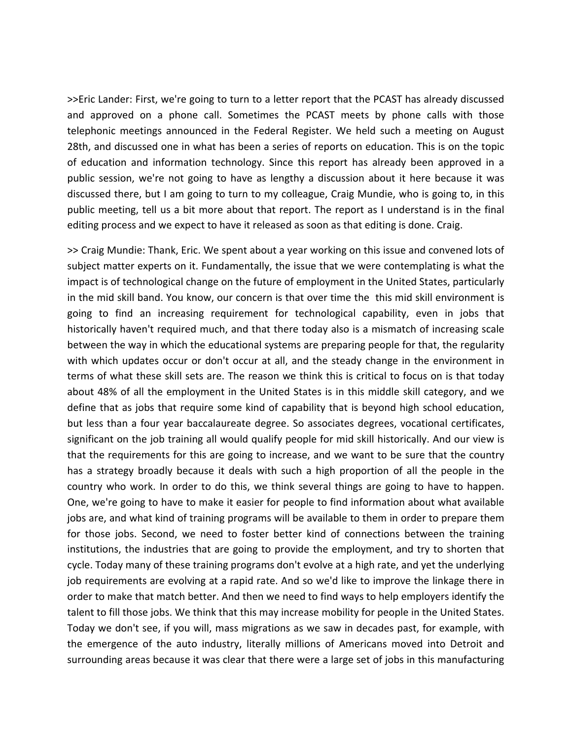>>Eric Lander: First, we're going to turn to a letter report that the PCAST has already discussed and approved on a phone call. Sometimes the PCAST meets by phone calls with those telephonic meetings announced in the Federal Register. We held such a meeting on August 28th, and discussed one in what has been a series of reports on education. This is on the topic of education and information technology. Since this report has already been approved in a public session, we're not going to have as lengthy a discussion about it here because it was discussed there, but I am going to turn to my colleague, Craig Mundie, who is going to, in this public meeting, tell us a bit more about that report. The report as I understand is in the final editing process and we expect to have it released as soon as that editing is done. Craig.

>> Craig Mundie: Thank, Eric. We spent about a year working on this issue and convened lots of subject matter experts on it. Fundamentally, the issue that we were contemplating is what the impact is of technological change on the future of employment in the United States, particularly in the mid skill band. You know, our concern is that over time the this mid skill environment is going to find an increasing requirement for technological capability, even in jobs that historically haven't required much, and that there today also is a mismatch of increasing scale between the way in which the educational systems are preparing people for that, the regularity with which updates occur or don't occur at all, and the steady change in the environment in terms of what these skill sets are. The reason we think this is critical to focus on is that today about 48% of all the employment in the United States is in this middle skill category, and we define that as jobs that require some kind of capability that is beyond high school education, but less than a four year baccalaureate degree. So associates degrees, vocational certificates, significant on the job training all would qualify people for mid skill historically. And our view is that the requirements for this are going to increase, and we want to be sure that the country has a strategy broadly because it deals with such a high proportion of all the people in the country who work. In order to do this, we think several things are going to have to happen. One, we're going to have to make it easier for people to find information about what available jobs are, and what kind of training programs will be available to them in order to prepare them for those jobs. Second, we need to foster better kind of connections between the training institutions, the industries that are going to provide the employment, and try to shorten that cycle. Today many of these training programs don't evolve at a high rate, and yet the underlying job requirements are evolving at a rapid rate. And so we'd like to improve the linkage there in order to make that match better. And then we need to find ways to help employers identify the talent to fill those jobs. We think that this may increase mobility for people in the United States. Today we don't see, if you will, mass migrations as we saw in decades past, for example, with the emergence of the auto industry, literally millions of Americans moved into Detroit and surrounding areas because it was clear that there were a large set of jobs in this manufacturing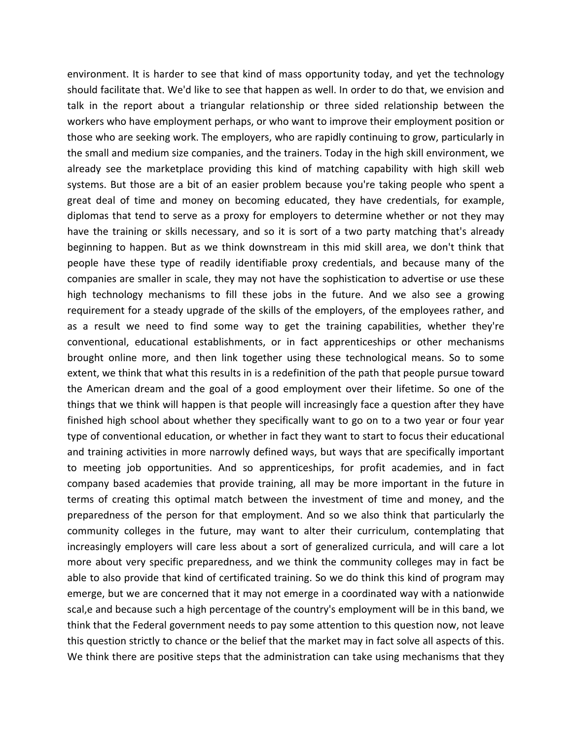environment. It is harder to see that kind of mass opportunity today, and yet the technology should facilitate that. We'd like to see that happen as well. In order to do that, we envision and talk in the report about a triangular relationship or three sided relationship between the workers who have employment perhaps, or who want to improve their employment position or those who are seeking work. The employers, who are rapidly continuing to grow, particularly in the small and medium size companies, and the trainers. Today in the high skill environment, we already see the marketplace providing this kind of matching capability with high skill web systems. But those are a bit of an easier problem because you're taking people who spent a great deal of time and money on becoming educated, they have credentials, for example, diplomas that tend to serve as a proxy for employers to determine whether or not they may have the training or skills necessary, and so it is sort of a two party matching that's already beginning to happen. But as we think downstream in this mid skill area, we don't think that people have these type of readily identifiable proxy credentials, and because many of the companies are smaller in scale, they may not have the sophistication to advertise or use these high technology mechanisms to fill these jobs in the future. And we also see a growing requirement for a steady upgrade of the skills of the employers, of the employees rather, and as a result we need to find some way to get the training capabilities, whether they're conventional, educational establishments, or in fact apprenticeships or other mechanisms brought online more, and then link together using these technological means. So to some extent, we think that what this results in is a redefinition of the path that people pursue toward the American dream and the goal of a good employment over their lifetime. So one of the things that we think will happen is that people will increasingly face a question after they have finished high school about whether they specifically want to go on to a two year or four year type of conventional education, or whether in fact they want to start to focus their educational and training activities in more narrowly defined ways, but ways that are specifically important to meeting job opportunities. And so apprenticeships, for profit academies, and in fact company based academies that provide training, all may be more important in the future in terms of creating this optimal match between the investment of time and money, and the preparedness of the person for that employment. And so we also think that particularly the community colleges in the future, may want to alter their curriculum, contemplating that increasingly employers will care less about a sort of generalized curricula, and will care a lot more about very specific preparedness, and we think the community colleges may in fact be able to also provide that kind of certificated training. So we do think this kind of program may emerge, but we are concerned that it may not emerge in a coordinated way with a nationwide scal,e and because such a high percentage of the country's employment will be in this band, we think that the Federal government needs to pay some attention to this question now, not leave this question strictly to chance or the belief that the market may in fact solve all aspects of this. We think there are positive steps that the administration can take using mechanisms that they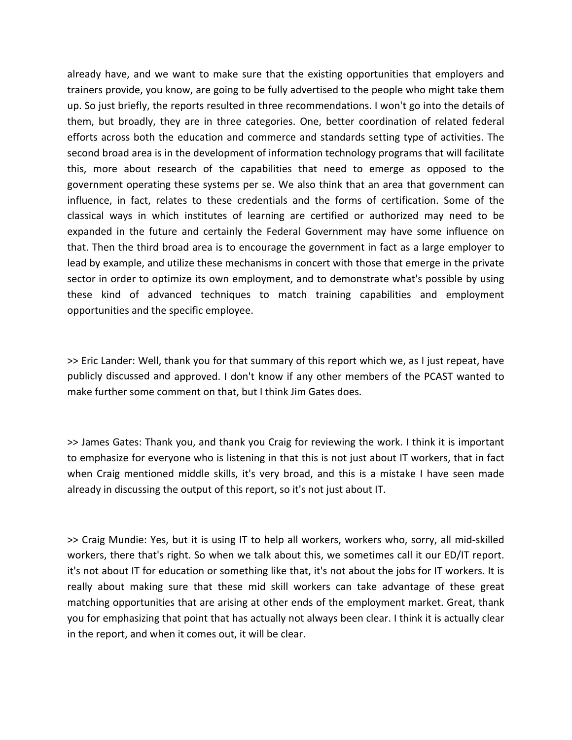already have, and we want to make sure that the existing opportunities that employers and trainers provide, you know, are going to be fully advertised to the people who might take them up. So just briefly, the reports resulted in three recommendations. I won't go into the details of them, but broadly, they are in three categories. One, better coordination of related federal efforts across both the education and commerce and standards setting type of activities. The second broad area is in the development of information technology programs that will facilitate this, more about research of the capabilities that need to emerge as opposed to the government operating these systems per se. We also think that an area that government can influence, in fact, relates to these credentials and the forms of certification. Some of the classical ways in which institutes of learning are certified or authorized may need to be expanded in the future and certainly the Federal Government may have some influence on that. Then the third broad area is to encourage the government in fact as a large employer to lead by example, and utilize these mechanisms in concert with those that emerge in the private sector in order to optimize its own employment, and to demonstrate what's possible by using these kind of advanced techniques to match training capabilities and employment opportunities and the specific employee.

>> Eric Lander: Well, thank you for that summary of this report which we, as I just repeat, have publicly discussed and approved. I don't know if any other members of the PCAST wanted to make further some comment on that, but I think Jim Gates does.

>> James Gates: Thank you, and thank you Craig for reviewing the work. I think it is important to emphasize for everyone who is listening in that this is not just about IT workers, that in fact when Craig mentioned middle skills, it's very broad, and this is a mistake I have seen made already in discussing the output of this report, so it's not just about IT.

>> Craig Mundie: Yes, but it is using IT to help all workers, workers who, sorry, all mid‐skilled workers, there that's right. So when we talk about this, we sometimes call it our ED/IT report. it's not about IT for education or something like that, it's not about the jobs for IT workers. It is really about making sure that these mid skill workers can take advantage of these great matching opportunities that are arising at other ends of the employment market. Great, thank you for emphasizing that point that has actually not always been clear. I think it is actually clear in the report, and when it comes out, it will be clear.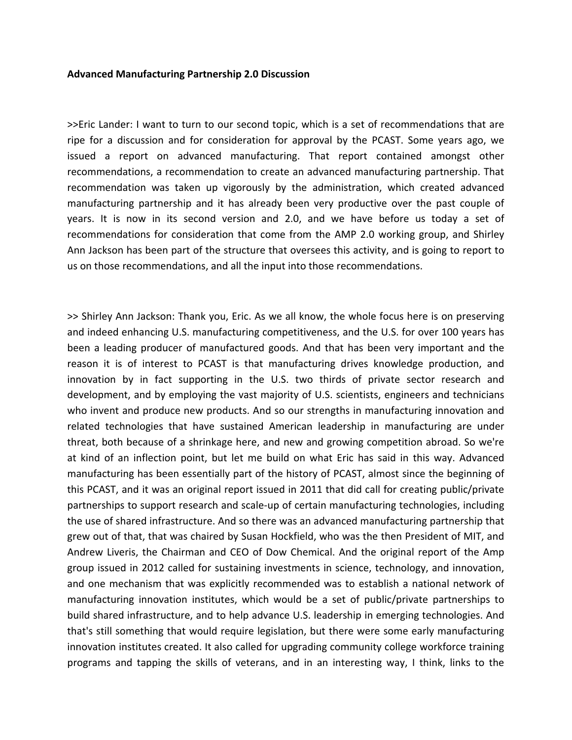### **Advanced Manufacturing Partnership 2.0 Discussion**

>>Eric Lander: I want to turn to our second topic, which is a set of recommendations that are ripe for a discussion and for consideration for approval by the PCAST. Some years ago, we issued a report on advanced manufacturing. That report contained amongst other recommendations, a recommendation to create an advanced manufacturing partnership. That recommendation was taken up vigorously by the administration, which created advanced manufacturing partnership and it has already been very productive over the past couple of years. It is now in its second version and 2.0, and we have before us today a set of recommendations for consideration that come from the AMP 2.0 working group, and Shirley Ann Jackson has been part of the structure that oversees this activity, and is going to report to us on those recommendations, and all the input into those recommendations.

>> Shirley Ann Jackson: Thank you, Eric. As we all know, the whole focus here is on preserving and indeed enhancing U.S. manufacturing competitiveness, and the U.S. for over 100 years has been a leading producer of manufactured goods. And that has been very important and the reason it is of interest to PCAST is that manufacturing drives knowledge production, and innovation by in fact supporting in the U.S. two thirds of private sector research and development, and by employing the vast majority of U.S. scientists, engineers and technicians who invent and produce new products. And so our strengths in manufacturing innovation and related technologies that have sustained American leadership in manufacturing are under threat, both because of a shrinkage here, and new and growing competition abroad. So we're at kind of an inflection point, but let me build on what Eric has said in this way. Advanced manufacturing has been essentially part of the history of PCAST, almost since the beginning of this PCAST, and it was an original report issued in 2011 that did call for creating public/private partnerships to support research and scale‐up of certain manufacturing technologies, including the use of shared infrastructure. And so there was an advanced manufacturing partnership that grew out of that, that was chaired by Susan Hockfield, who was the then President of MIT, and Andrew Liveris, the Chairman and CEO of Dow Chemical. And the original report of the Amp group issued in 2012 called for sustaining investments in science, technology, and innovation, and one mechanism that was explicitly recommended was to establish a national network of manufacturing innovation institutes, which would be a set of public/private partnerships to build shared infrastructure, and to help advance U.S. leadership in emerging technologies. And that's still something that would require legislation, but there were some early manufacturing innovation institutes created. It also called for upgrading community college workforce training programs and tapping the skills of veterans, and in an interesting way, I think, links to the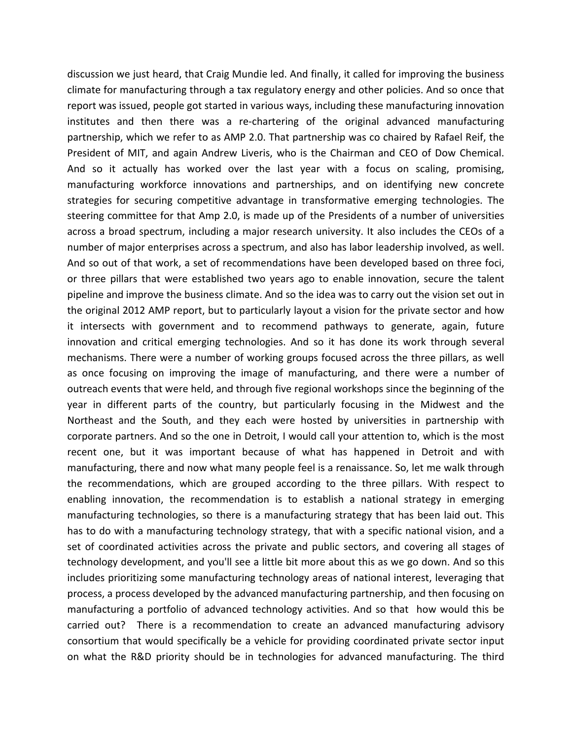discussion we just heard, that Craig Mundie led. And finally, it called for improving the business climate for manufacturing through a tax regulatory energy and other policies. And so once that report was issued, people got started in various ways, including these manufacturing innovation institutes and then there was a re‐chartering of the original advanced manufacturing partnership, which we refer to as AMP 2.0. That partnership was co chaired by Rafael Reif, the President of MIT, and again Andrew Liveris, who is the Chairman and CEO of Dow Chemical. And so it actually has worked over the last year with a focus on scaling, promising, manufacturing workforce innovations and partnerships, and on identifying new concrete strategies for securing competitive advantage in transformative emerging technologies. The steering committee for that Amp 2.0, is made up of the Presidents of a number of universities across a broad spectrum, including a major research university. It also includes the CEOs of a number of major enterprises across a spectrum, and also has labor leadership involved, as well. And so out of that work, a set of recommendations have been developed based on three foci, or three pillars that were established two years ago to enable innovation, secure the talent pipeline and improve the business climate. And so the idea was to carry out the vision set out in the original 2012 AMP report, but to particularly layout a vision for the private sector and how it intersects with government and to recommend pathways to generate, again, future innovation and critical emerging technologies. And so it has done its work through several mechanisms. There were a number of working groups focused across the three pillars, as well as once focusing on improving the image of manufacturing, and there were a number of outreach events that were held, and through five regional workshops since the beginning of the year in different parts of the country, but particularly focusing in the Midwest and the Northeast and the South, and they each were hosted by universities in partnership with corporate partners. And so the one in Detroit, I would call your attention to, which is the most recent one, but it was important because of what has happened in Detroit and with manufacturing, there and now what many people feel is a renaissance. So, let me walk through the recommendations, which are grouped according to the three pillars. With respect to enabling innovation, the recommendation is to establish a national strategy in emerging manufacturing technologies, so there is a manufacturing strategy that has been laid out. This has to do with a manufacturing technology strategy, that with a specific national vision, and a set of coordinated activities across the private and public sectors, and covering all stages of technology development, and you'll see a little bit more about this as we go down. And so this includes prioritizing some manufacturing technology areas of national interest, leveraging that process, a process developed by the advanced manufacturing partnership, and then focusing on manufacturing a portfolio of advanced technology activities. And so that how would this be carried out? There is a recommendation to create an advanced manufacturing advisory consortium that would specifically be a vehicle for providing coordinated private sector input on what the R&D priority should be in technologies for advanced manufacturing. The third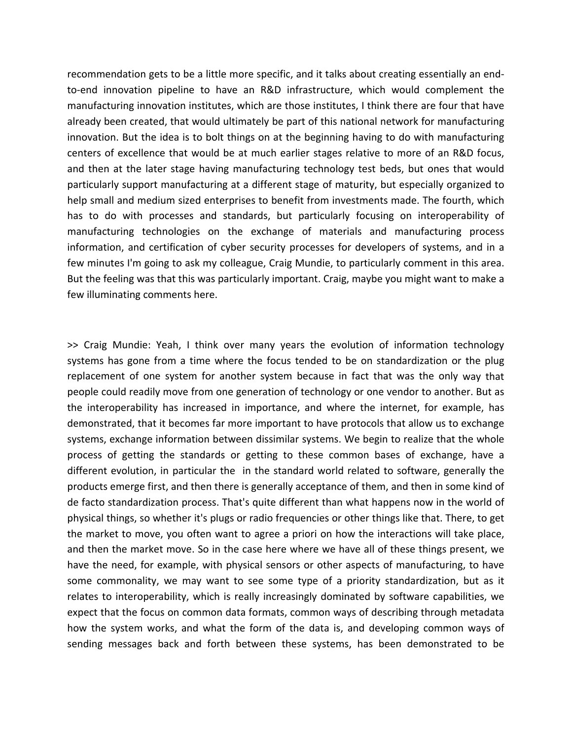recommendation gets to be a little more specific, and it talks about creating essentially an end‐ to-end innovation pipeline to have an R&D infrastructure, which would complement the manufacturing innovation institutes, which are those institutes, I think there are four that have already been created, that would ultimately be part of this national network for manufacturing innovation. But the idea is to bolt things on at the beginning having to do with manufacturing centers of excellence that would be at much earlier stages relative to more of an R&D focus, and then at the later stage having manufacturing technology test beds, but ones that would particularly support manufacturing at a different stage of maturity, but especially organized to help small and medium sized enterprises to benefit from investments made. The fourth, which has to do with processes and standards, but particularly focusing on interoperability of manufacturing technologies on the exchange of materials and manufacturing process information, and certification of cyber security processes for developers of systems, and in a few minutes I'm going to ask my colleague, Craig Mundie, to particularly comment in this area. But the feeling was that this was particularly important. Craig, maybe you might want to make a few illuminating comments here.

>> Craig Mundie: Yeah, I think over many years the evolution of information technology systems has gone from a time where the focus tended to be on standardization or the plug replacement of one system for another system because in fact that was the only way that people could readily move from one generation of technology or one vendor to another. But as the interoperability has increased in importance, and where the internet, for example, has demonstrated, that it becomes far more important to have protocols that allow us to exchange systems, exchange information between dissimilar systems. We begin to realize that the whole process of getting the standards or getting to these common bases of exchange, have a different evolution, in particular the in the standard world related to software, generally the products emerge first, and then there is generally acceptance of them, and then in some kind of de facto standardization process. That's quite different than what happens now in the world of physical things, so whether it's plugs or radio frequencies or other things like that. There, to get the market to move, you often want to agree a priori on how the interactions will take place, and then the market move. So in the case here where we have all of these things present, we have the need, for example, with physical sensors or other aspects of manufacturing, to have some commonality, we may want to see some type of a priority standardization, but as it relates to interoperability, which is really increasingly dominated by software capabilities, we expect that the focus on common data formats, common ways of describing through metadata how the system works, and what the form of the data is, and developing common ways of sending messages back and forth between these systems, has been demonstrated to be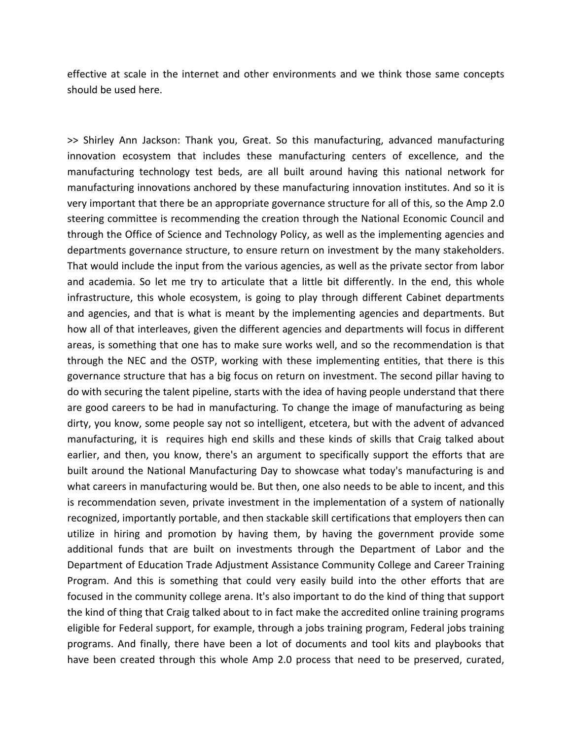effective at scale in the internet and other environments and we think those same concepts should be used here.

>> Shirley Ann Jackson: Thank you, Great. So this manufacturing, advanced manufacturing innovation ecosystem that includes these manufacturing centers of excellence, and the manufacturing technology test beds, are all built around having this national network for manufacturing innovations anchored by these manufacturing innovation institutes. And so it is very important that there be an appropriate governance structure for all of this, so the Amp 2.0 steering committee is recommending the creation through the National Economic Council and through the Office of Science and Technology Policy, as well as the implementing agencies and departments governance structure, to ensure return on investment by the many stakeholders. That would include the input from the various agencies, as well as the private sector from labor and academia. So let me try to articulate that a little bit differently. In the end, this whole infrastructure, this whole ecosystem, is going to play through different Cabinet departments and agencies, and that is what is meant by the implementing agencies and departments. But how all of that interleaves, given the different agencies and departments will focus in different areas, is something that one has to make sure works well, and so the recommendation is that through the NEC and the OSTP, working with these implementing entities, that there is this governance structure that has a big focus on return on investment. The second pillar having to do with securing the talent pipeline, starts with the idea of having people understand that there are good careers to be had in manufacturing. To change the image of manufacturing as being dirty, you know, some people say not so intelligent, etcetera, but with the advent of advanced manufacturing, it is requires high end skills and these kinds of skills that Craig talked about earlier, and then, you know, there's an argument to specifically support the efforts that are built around the National Manufacturing Day to showcase what today's manufacturing is and what careers in manufacturing would be. But then, one also needs to be able to incent, and this is recommendation seven, private investment in the implementation of a system of nationally recognized, importantly portable, and then stackable skill certifications that employers then can utilize in hiring and promotion by having them, by having the government provide some additional funds that are built on investments through the Department of Labor and the Department of Education Trade Adjustment Assistance Community College and Career Training Program. And this is something that could very easily build into the other efforts that are focused in the community college arena. It's also important to do the kind of thing that support the kind of thing that Craig talked about to in fact make the accredited online training programs eligible for Federal support, for example, through a jobs training program, Federal jobs training programs. And finally, there have been a lot of documents and tool kits and playbooks that have been created through this whole Amp 2.0 process that need to be preserved, curated,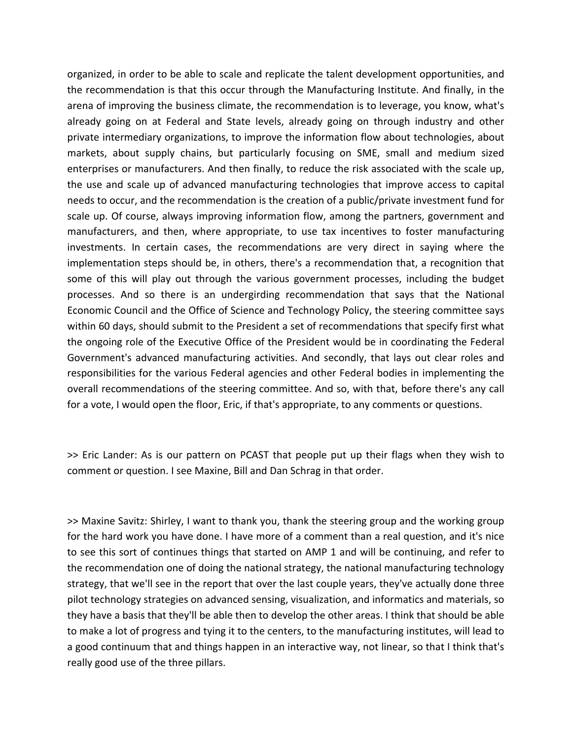organized, in order to be able to scale and replicate the talent development opportunities, and the recommendation is that this occur through the Manufacturing Institute. And finally, in the arena of improving the business climate, the recommendation is to leverage, you know, what's already going on at Federal and State levels, already going on through industry and other private intermediary organizations, to improve the information flow about technologies, about markets, about supply chains, but particularly focusing on SME, small and medium sized enterprises or manufacturers. And then finally, to reduce the risk associated with the scale up, the use and scale up of advanced manufacturing technologies that improve access to capital needs to occur, and the recommendation is the creation of a public/private investment fund for scale up. Of course, always improving information flow, among the partners, government and manufacturers, and then, where appropriate, to use tax incentives to foster manufacturing investments. In certain cases, the recommendations are very direct in saying where the implementation steps should be, in others, there's a recommendation that, a recognition that some of this will play out through the various government processes, including the budget processes. And so there is an undergirding recommendation that says that the National Economic Council and the Office of Science and Technology Policy, the steering committee says within 60 days, should submit to the President a set of recommendations that specify first what the ongoing role of the Executive Office of the President would be in coordinating the Federal Government's advanced manufacturing activities. And secondly, that lays out clear roles and responsibilities for the various Federal agencies and other Federal bodies in implementing the overall recommendations of the steering committee. And so, with that, before there's any call for a vote, I would open the floor, Eric, if that's appropriate, to any comments or questions.

>> Eric Lander: As is our pattern on PCAST that people put up their flags when they wish to comment or question. I see Maxine, Bill and Dan Schrag in that order.

>> Maxine Savitz: Shirley, I want to thank you, thank the steering group and the working group for the hard work you have done. I have more of a comment than a real question, and it's nice to see this sort of continues things that started on AMP 1 and will be continuing, and refer to the recommendation one of doing the national strategy, the national manufacturing technology strategy, that we'll see in the report that over the last couple years, they've actually done three pilot technology strategies on advanced sensing, visualization, and informatics and materials, so they have a basis that they'll be able then to develop the other areas. I think that should be able to make a lot of progress and tying it to the centers, to the manufacturing institutes, will lead to a good continuum that and things happen in an interactive way, not linear, so that I think that's really good use of the three pillars.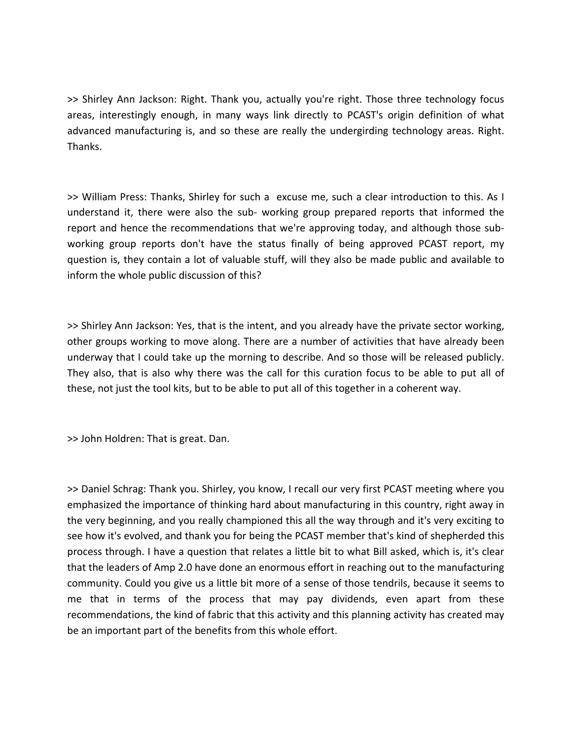>> Shirley Ann Jackson: Right. Thank you, actually you're right. Those three technology focus areas, interestingly enough, in many ways link directly to PCAST's origin definition of what advanced manufacturing is, and so these are really the undergirding technology areas. Right. Thanks.

>> William Press: Thanks, Shirley for such a excuse me, such a clear introduction to this. As I understand it, there were also the sub‐ working group prepared reports that informed the report and hence the recommendations that we're approving today, and although those sub‐ working group reports don't have the status finally of being approved PCAST report, my question is, they contain a lot of valuable stuff, will they also be made public and available to inform the whole public discussion of this?

>> Shirley Ann Jackson: Yes, that is the intent, and you already have the private sector working, other groups working to move along. There are a number of activities that have already been underway that I could take up the morning to describe. And so those will be released publicly. They also, that is also why there was the call for this curation focus to be able to put all of these, not just the tool kits, but to be able to put all of this together in a coherent way.

>> John Holdren: That is great. Dan.

>> Daniel Schrag: Thank you. Shirley, you know, I recall our very first PCAST meeting where you emphasized the importance of thinking hard about manufacturing in this country, right away in the very beginning, and you really championed this all the way through and it's very exciting to see how it's evolved, and thank you for being the PCAST member that's kind of shepherded this process through. I have a question that relates a little bit to what Bill asked, which is, it's clear that the leaders of Amp 2.0 have done an enormous effort in reaching out to the manufacturing community. Could you give us a little bit more of a sense of those tendrils, because it seems to me that in terms of the process that may pay dividends, even apart from these recommendations, the kind of fabric that this activity and this planning activity has created may be an important part of the benefits from this whole effort.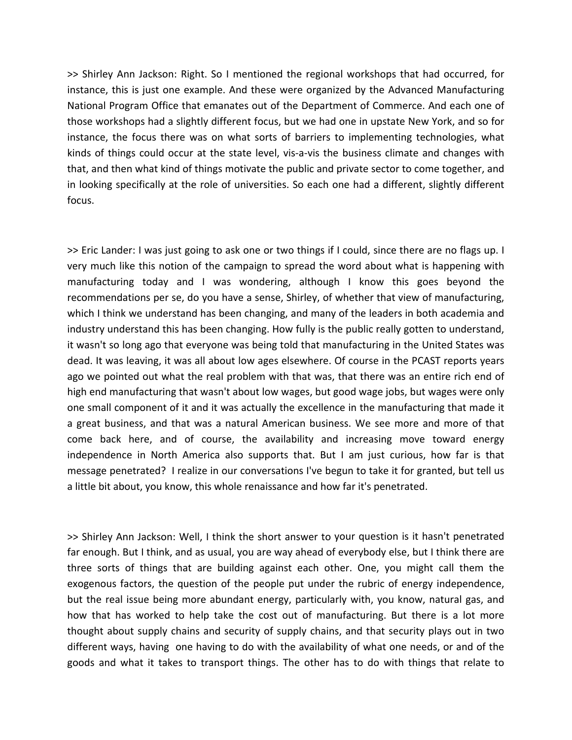>> Shirley Ann Jackson: Right. So I mentioned the regional workshops that had occurred, for instance, this is just one example. And these were organized by the Advanced Manufacturing National Program Office that emanates out of the Department of Commerce. And each one of those workshops had a slightly different focus, but we had one in upstate New York, and so for instance, the focus there was on what sorts of barriers to implementing technologies, what kinds of things could occur at the state level, vis-a-vis the business climate and changes with that, and then what kind of things motivate the public and private sector to come together, and in looking specifically at the role of universities. So each one had a different, slightly different focus.

>> Eric Lander: I was just going to ask one or two things if I could, since there are no flags up. I very much like this notion of the campaign to spread the word about what is happening with manufacturing today and I was wondering, although I know this goes beyond the recommendations per se, do you have a sense, Shirley, of whether that view of manufacturing, which I think we understand has been changing, and many of the leaders in both academia and industry understand this has been changing. How fully is the public really gotten to understand, it wasn't so long ago that everyone was being told that manufacturing in the United States was dead. It was leaving, it was all about low ages elsewhere. Of course in the PCAST reports years ago we pointed out what the real problem with that was, that there was an entire rich end of high end manufacturing that wasn't about low wages, but good wage jobs, but wages were only one small component of it and it was actually the excellence in the manufacturing that made it a great business, and that was a natural American business. We see more and more of that come back here, and of course, the availability and increasing move toward energy independence in North America also supports that. But I am just curious, how far is that message penetrated? I realize in our conversations I've begun to take it for granted, but tell us a little bit about, you know, this whole renaissance and how far it's penetrated.

>> Shirley Ann Jackson: Well, I think the short answer to your question is it hasn't penetrated far enough. But I think, and as usual, you are way ahead of everybody else, but I think there are three sorts of things that are building against each other. One, you might call them the exogenous factors, the question of the people put under the rubric of energy independence, but the real issue being more abundant energy, particularly with, you know, natural gas, and how that has worked to help take the cost out of manufacturing. But there is a lot more thought about supply chains and security of supply chains, and that security plays out in two different ways, having one having to do with the availability of what one needs, or and of the goods and what it takes to transport things. The other has to do with things that relate to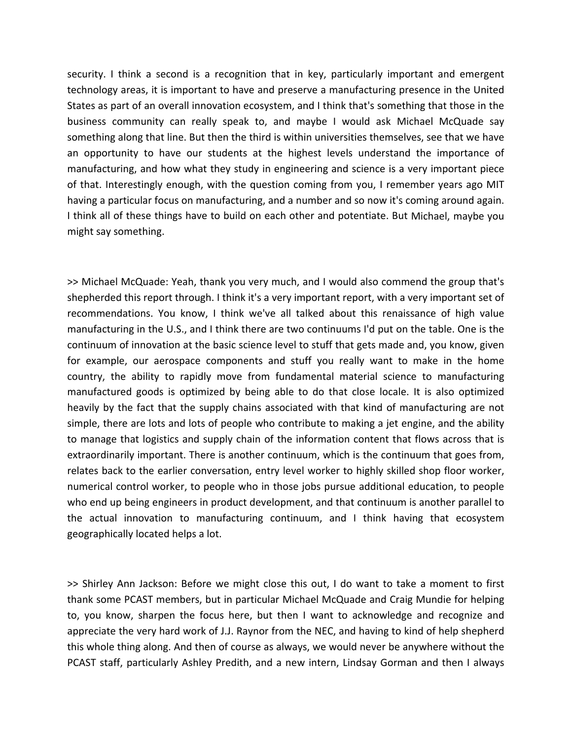security. I think a second is a recognition that in key, particularly important and emergent technology areas, it is important to have and preserve a manufacturing presence in the United States as part of an overall innovation ecosystem, and I think that's something that those in the business community can really speak to, and maybe I would ask Michael McQuade say something along that line. But then the third is within universities themselves, see that we have an opportunity to have our students at the highest levels understand the importance of manufacturing, and how what they study in engineering and science is a very important piece of that. Interestingly enough, with the question coming from you, I remember years ago MIT having a particular focus on manufacturing, and a number and so now it's coming around again. I think all of these things have to build on each other and potentiate. But Michael, maybe you might say something.

>> Michael McQuade: Yeah, thank you very much, and I would also commend the group that's shepherded this report through. I think it's a very important report, with a very important set of recommendations. You know, I think we've all talked about this renaissance of high value manufacturing in the U.S., and I think there are two continuums I'd put on the table. One is the continuum of innovation at the basic science level to stuff that gets made and, you know, given for example, our aerospace components and stuff you really want to make in the home country, the ability to rapidly move from fundamental material science to manufacturing manufactured goods is optimized by being able to do that close locale. It is also optimized heavily by the fact that the supply chains associated with that kind of manufacturing are not simple, there are lots and lots of people who contribute to making a jet engine, and the ability to manage that logistics and supply chain of the information content that flows across that is extraordinarily important. There is another continuum, which is the continuum that goes from, relates back to the earlier conversation, entry level worker to highly skilled shop floor worker, numerical control worker, to people who in those jobs pursue additional education, to people who end up being engineers in product development, and that continuum is another parallel to the actual innovation to manufacturing continuum, and I think having that ecosystem geographically located helps a lot.

>> Shirley Ann Jackson: Before we might close this out, I do want to take a moment to first thank some PCAST members, but in particular Michael McQuade and Craig Mundie for helping to, you know, sharpen the focus here, but then I want to acknowledge and recognize and appreciate the very hard work of J.J. Raynor from the NEC, and having to kind of help shepherd this whole thing along. And then of course as always, we would never be anywhere without the PCAST staff, particularly Ashley Predith, and a new intern, Lindsay Gorman and then I always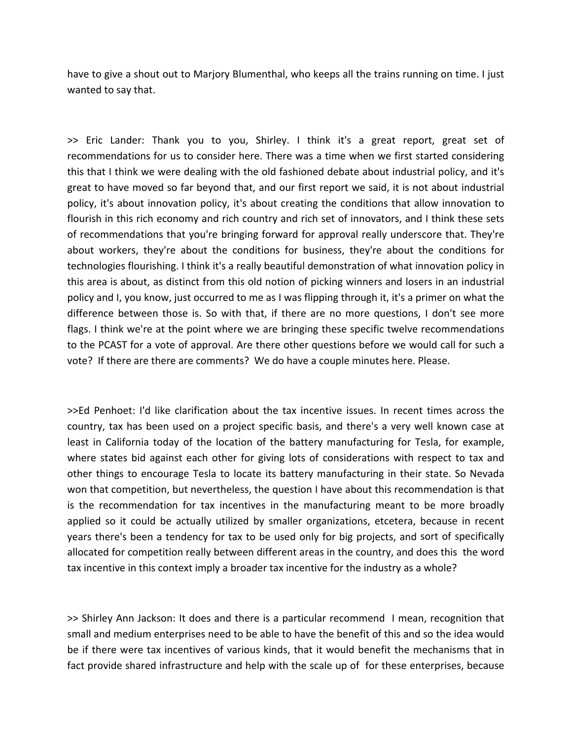have to give a shout out to Marjory Blumenthal, who keeps all the trains running on time. I just wanted to say that.

>> Eric Lander: Thank you to you, Shirley. I think it's a great report, great set of recommendations for us to consider here. There was a time when we first started considering this that I think we were dealing with the old fashioned debate about industrial policy, and it's great to have moved so far beyond that, and our first report we said, it is not about industrial policy, it's about innovation policy, it's about creating the conditions that allow innovation to flourish in this rich economy and rich country and rich set of innovators, and I think these sets of recommendations that you're bringing forward for approval really underscore that. They're about workers, they're about the conditions for business, they're about the conditions for technologies flourishing. I think it's a really beautiful demonstration of what innovation policy in this area is about, as distinct from this old notion of picking winners and losers in an industrial policy and I, you know, just occurred to me as I was flipping through it, it's a primer on what the difference between those is. So with that, if there are no more questions, I don't see more flags. I think we're at the point where we are bringing these specific twelve recommendations to the PCAST for a vote of approval. Are there other questions before we would call for such a vote? If there are there are comments? We do have a couple minutes here. Please.

>>Ed Penhoet: I'd like clarification about the tax incentive issues. In recent times across the country, tax has been used on a project specific basis, and there's a very well known case at least in California today of the location of the battery manufacturing for Tesla, for example, where states bid against each other for giving lots of considerations with respect to tax and other things to encourage Tesla to locate its battery manufacturing in their state. So Nevada won that competition, but nevertheless, the question I have about this recommendation is that is the recommendation for tax incentives in the manufacturing meant to be more broadly applied so it could be actually utilized by smaller organizations, etcetera, because in recent years there's been a tendency for tax to be used only for big projects, and sort of specifically allocated for competition really between different areas in the country, and does this the word tax incentive in this context imply a broader tax incentive for the industry as a whole?

>> Shirley Ann Jackson: It does and there is a particular recommend I mean, recognition that small and medium enterprises need to be able to have the benefit of this and so the idea would be if there were tax incentives of various kinds, that it would benefit the mechanisms that in fact provide shared infrastructure and help with the scale up of for these enterprises, because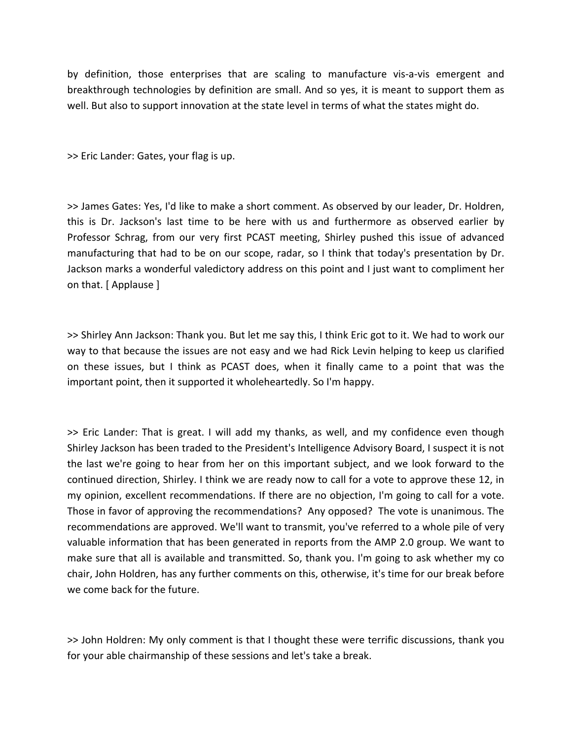by definition, those enterprises that are scaling to manufacture vis‐a‐vis emergent and breakthrough technologies by definition are small. And so yes, it is meant to support them as well. But also to support innovation at the state level in terms of what the states might do.

>> Eric Lander: Gates, your flag is up.

>> James Gates: Yes, I'd like to make a short comment. As observed by our leader, Dr. Holdren, this is Dr. Jackson's last time to be here with us and furthermore as observed earlier by Professor Schrag, from our very first PCAST meeting, Shirley pushed this issue of advanced manufacturing that had to be on our scope, radar, so I think that today's presentation by Dr. Jackson marks a wonderful valedictory address on this point and I just want to compliment her on that. [ Applause ]

>> Shirley Ann Jackson: Thank you. But let me say this, I think Eric got to it. We had to work our way to that because the issues are not easy and we had Rick Levin helping to keep us clarified on these issues, but I think as PCAST does, when it finally came to a point that was the important point, then it supported it wholeheartedly. So I'm happy.

>> Eric Lander: That is great. I will add my thanks, as well, and my confidence even though Shirley Jackson has been traded to the President's Intelligence Advisory Board, I suspect it is not the last we're going to hear from her on this important subject, and we look forward to the continued direction, Shirley. I think we are ready now to call for a vote to approve these 12, in my opinion, excellent recommendations. If there are no objection, I'm going to call for a vote. Those in favor of approving the recommendations? Any opposed? The vote is unanimous. The recommendations are approved. We'll want to transmit, you've referred to a whole pile of very valuable information that has been generated in reports from the AMP 2.0 group. We want to make sure that all is available and transmitted. So, thank you. I'm going to ask whether my co chair, John Holdren, has any further comments on this, otherwise, it's time for our break before we come back for the future.

>> John Holdren: My only comment is that I thought these were terrific discussions, thank you for your able chairmanship of these sessions and let's take a break.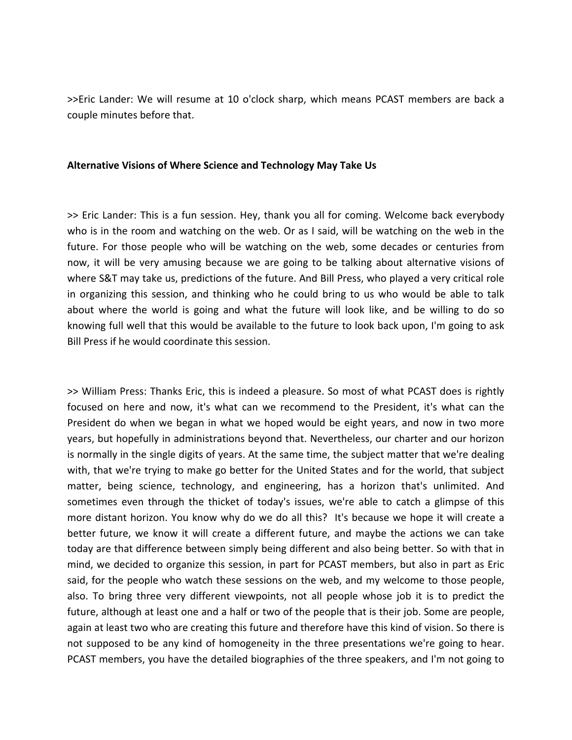>>Eric Lander: We will resume at 10 o'clock sharp, which means PCAST members are back a couple minutes before that.

### **Alternative Visions of Where Science and Technology May Take Us**

>> Eric Lander: This is a fun session. Hey, thank you all for coming. Welcome back everybody who is in the room and watching on the web. Or as I said, will be watching on the web in the future. For those people who will be watching on the web, some decades or centuries from now, it will be very amusing because we are going to be talking about alternative visions of where S&T may take us, predictions of the future. And Bill Press, who played a very critical role in organizing this session, and thinking who he could bring to us who would be able to talk about where the world is going and what the future will look like, and be willing to do so knowing full well that this would be available to the future to look back upon, I'm going to ask Bill Press if he would coordinate this session.

>> William Press: Thanks Eric, this is indeed a pleasure. So most of what PCAST does is rightly focused on here and now, it's what can we recommend to the President, it's what can the President do when we began in what we hoped would be eight years, and now in two more years, but hopefully in administrations beyond that. Nevertheless, our charter and our horizon is normally in the single digits of years. At the same time, the subject matter that we're dealing with, that we're trying to make go better for the United States and for the world, that subject matter, being science, technology, and engineering, has a horizon that's unlimited. And sometimes even through the thicket of today's issues, we're able to catch a glimpse of this more distant horizon. You know why do we do all this? It's because we hope it will create a better future, we know it will create a different future, and maybe the actions we can take today are that difference between simply being different and also being better. So with that in mind, we decided to organize this session, in part for PCAST members, but also in part as Eric said, for the people who watch these sessions on the web, and my welcome to those people, also. To bring three very different viewpoints, not all people whose job it is to predict the future, although at least one and a half or two of the people that is their job. Some are people, again at least two who are creating this future and therefore have this kind of vision. So there is not supposed to be any kind of homogeneity in the three presentations we're going to hear. PCAST members, you have the detailed biographies of the three speakers, and I'm not going to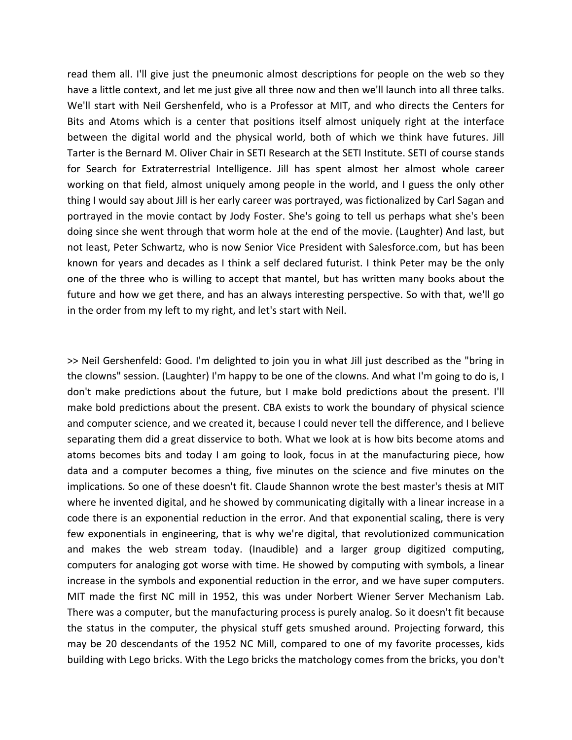read them all. I'll give just the pneumonic almost descriptions for people on the web so they have a little context, and let me just give all three now and then we'll launch into all three talks. We'll start with Neil Gershenfeld, who is a Professor at MIT, and who directs the Centers for Bits and Atoms which is a center that positions itself almost uniquely right at the interface between the digital world and the physical world, both of which we think have futures. Jill Tarter is the Bernard M. Oliver Chair in SETI Research at the SETI Institute. SETI of course stands for Search for Extraterrestrial Intelligence. Jill has spent almost her almost whole career working on that field, almost uniquely among people in the world, and I guess the only other thing I would say about Jill is her early career was portrayed, was fictionalized by Carl Sagan and portrayed in the movie contact by Jody Foster. She's going to tell us perhaps what she's been doing since she went through that worm hole at the end of the movie. (Laughter) And last, but not least, Peter Schwartz, who is now Senior Vice President with Salesforce.com, but has been known for years and decades as I think a self declared futurist. I think Peter may be the only one of the three who is willing to accept that mantel, but has written many books about the future and how we get there, and has an always interesting perspective. So with that, we'll go in the order from my left to my right, and let's start with Neil.

>> Neil Gershenfeld: Good. I'm delighted to join you in what Jill just described as the "bring in the clowns" session. (Laughter) I'm happy to be one of the clowns. And what I'm going to do is, I don't make predictions about the future, but I make bold predictions about the present. I'll make bold predictions about the present. CBA exists to work the boundary of physical science and computer science, and we created it, because I could never tell the difference, and I believe separating them did a great disservice to both. What we look at is how bits become atoms and atoms becomes bits and today I am going to look, focus in at the manufacturing piece, how data and a computer becomes a thing, five minutes on the science and five minutes on the implications. So one of these doesn't fit. Claude Shannon wrote the best master's thesis at MIT where he invented digital, and he showed by communicating digitally with a linear increase in a code there is an exponential reduction in the error. And that exponential scaling, there is very few exponentials in engineering, that is why we're digital, that revolutionized communication and makes the web stream today. (Inaudible) and a larger group digitized computing, computers for analoging got worse with time. He showed by computing with symbols, a linear increase in the symbols and exponential reduction in the error, and we have super computers. MIT made the first NC mill in 1952, this was under Norbert Wiener Server Mechanism Lab. There was a computer, but the manufacturing process is purely analog. So it doesn't fit because the status in the computer, the physical stuff gets smushed around. Projecting forward, this may be 20 descendants of the 1952 NC Mill, compared to one of my favorite processes, kids building with Lego bricks. With the Lego bricks the matchology comes from the bricks, you don't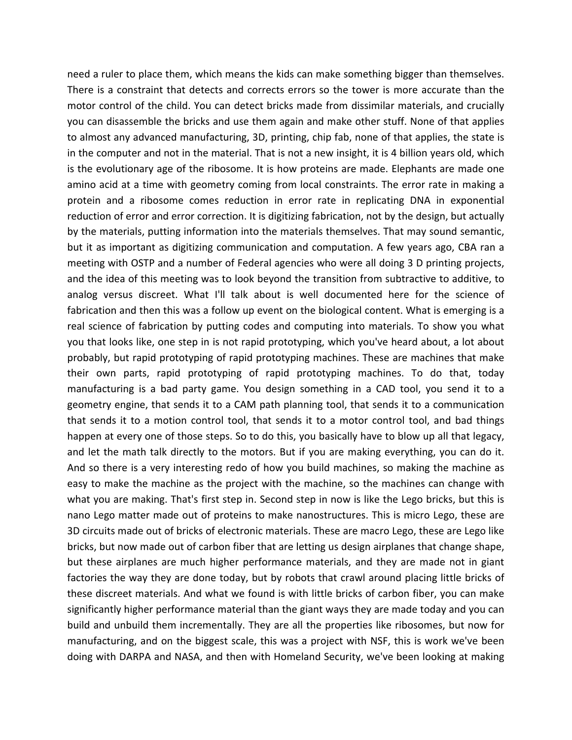need a ruler to place them, which means the kids can make something bigger than themselves. There is a constraint that detects and corrects errors so the tower is more accurate than the motor control of the child. You can detect bricks made from dissimilar materials, and crucially you can disassemble the bricks and use them again and make other stuff. None of that applies to almost any advanced manufacturing, 3D, printing, chip fab, none of that applies, the state is in the computer and not in the material. That is not a new insight, it is 4 billion years old, which is the evolutionary age of the ribosome. It is how proteins are made. Elephants are made one amino acid at a time with geometry coming from local constraints. The error rate in making a protein and a ribosome comes reduction in error rate in replicating DNA in exponential reduction of error and error correction. It is digitizing fabrication, not by the design, but actually by the materials, putting information into the materials themselves. That may sound semantic, but it as important as digitizing communication and computation. A few years ago, CBA ran a meeting with OSTP and a number of Federal agencies who were all doing 3 D printing projects, and the idea of this meeting was to look beyond the transition from subtractive to additive, to analog versus discreet. What I'll talk about is well documented here for the science of fabrication and then this was a follow up event on the biological content. What is emerging is a real science of fabrication by putting codes and computing into materials. To show you what you that looks like, one step in is not rapid prototyping, which you've heard about, a lot about probably, but rapid prototyping of rapid prototyping machines. These are machines that make their own parts, rapid prototyping of rapid prototyping machines. To do that, today manufacturing is a bad party game. You design something in a CAD tool, you send it to a geometry engine, that sends it to a CAM path planning tool, that sends it to a communication that sends it to a motion control tool, that sends it to a motor control tool, and bad things happen at every one of those steps. So to do this, you basically have to blow up all that legacy, and let the math talk directly to the motors. But if you are making everything, you can do it. And so there is a very interesting redo of how you build machines, so making the machine as easy to make the machine as the project with the machine, so the machines can change with what you are making. That's first step in. Second step in now is like the Lego bricks, but this is nano Lego matter made out of proteins to make nanostructures. This is micro Lego, these are 3D circuits made out of bricks of electronic materials. These are macro Lego, these are Lego like bricks, but now made out of carbon fiber that are letting us design airplanes that change shape, but these airplanes are much higher performance materials, and they are made not in giant factories the way they are done today, but by robots that crawl around placing little bricks of these discreet materials. And what we found is with little bricks of carbon fiber, you can make significantly higher performance material than the giant ways they are made today and you can build and unbuild them incrementally. They are all the properties like ribosomes, but now for manufacturing, and on the biggest scale, this was a project with NSF, this is work we've been doing with DARPA and NASA, and then with Homeland Security, we've been looking at making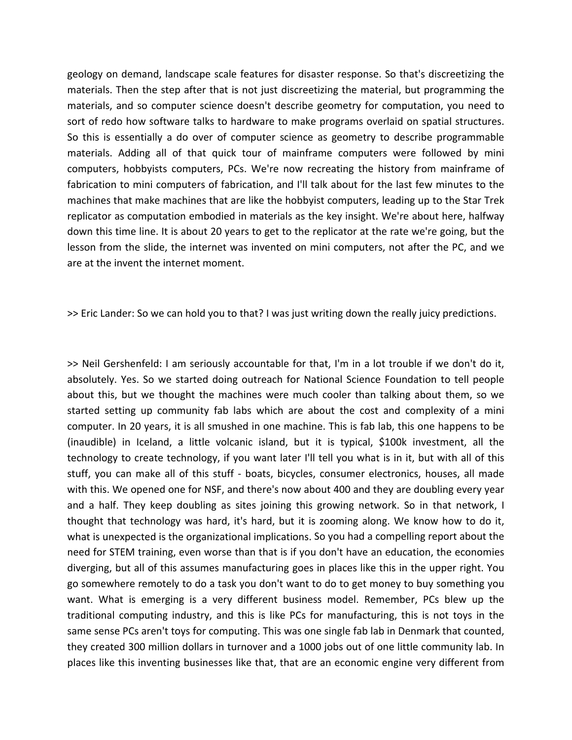geology on demand, landscape scale features for disaster response. So that's discreetizing the materials. Then the step after that is not just discreetizing the material, but programming the materials, and so computer science doesn't describe geometry for computation, you need to sort of redo how software talks to hardware to make programs overlaid on spatial structures. So this is essentially a do over of computer science as geometry to describe programmable materials. Adding all of that quick tour of mainframe computers were followed by mini computers, hobbyists computers, PCs. We're now recreating the history from mainframe of fabrication to mini computers of fabrication, and I'll talk about for the last few minutes to the machines that make machines that are like the hobbyist computers, leading up to the Star Trek replicator as computation embodied in materials as the key insight. We're about here, halfway down this time line. It is about 20 years to get to the replicator at the rate we're going, but the lesson from the slide, the internet was invented on mini computers, not after the PC, and we are at the invent the internet moment.

>> Eric Lander: So we can hold you to that? I was just writing down the really juicy predictions.

>> Neil Gershenfeld: I am seriously accountable for that, I'm in a lot trouble if we don't do it, absolutely. Yes. So we started doing outreach for National Science Foundation to tell people about this, but we thought the machines were much cooler than talking about them, so we started setting up community fab labs which are about the cost and complexity of a mini computer. In 20 years, it is all smushed in one machine. This is fab lab, this one happens to be (inaudible) in Iceland, a little volcanic island, but it is typical, \$100k investment, all the technology to create technology, if you want later I'll tell you what is in it, but with all of this stuff, you can make all of this stuff - boats, bicycles, consumer electronics, houses, all made with this. We opened one for NSF, and there's now about 400 and they are doubling every year and a half. They keep doubling as sites joining this growing network. So in that network, I thought that technology was hard, it's hard, but it is zooming along. We know how to do it, what is unexpected is the organizational implications. So you had a compelling report about the need for STEM training, even worse than that is if you don't have an education, the economies diverging, but all of this assumes manufacturing goes in places like this in the upper right. You go somewhere remotely to do a task you don't want to do to get money to buy something you want. What is emerging is a very different business model. Remember, PCs blew up the traditional computing industry, and this is like PCs for manufacturing, this is not toys in the same sense PCs aren't toys for computing. This was one single fab lab in Denmark that counted, they created 300 million dollars in turnover and a 1000 jobs out of one little community lab. In places like this inventing businesses like that, that are an economic engine very different from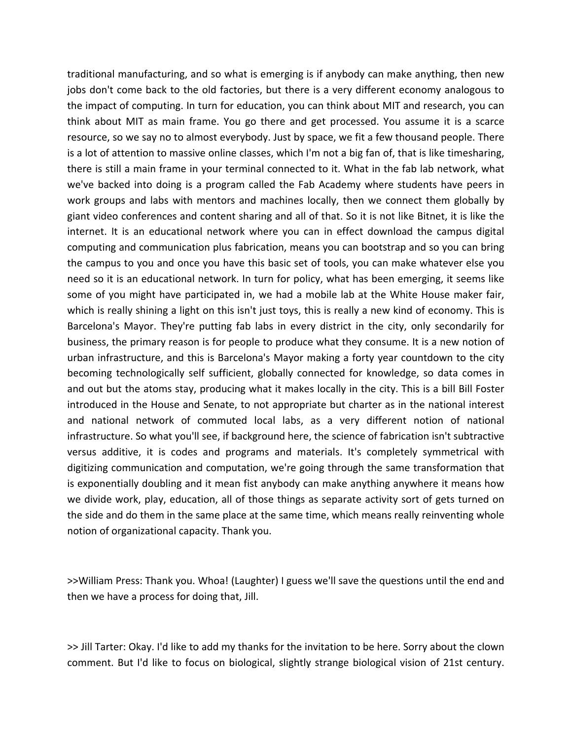traditional manufacturing, and so what is emerging is if anybody can make anything, then new jobs don't come back to the old factories, but there is a very different economy analogous to the impact of computing. In turn for education, you can think about MIT and research, you can think about MIT as main frame. You go there and get processed. You assume it is a scarce resource, so we say no to almost everybody. Just by space, we fit a few thousand people. There is a lot of attention to massive online classes, which I'm not a big fan of, that is like timesharing, there is still a main frame in your terminal connected to it. What in the fab lab network, what we've backed into doing is a program called the Fab Academy where students have peers in work groups and labs with mentors and machines locally, then we connect them globally by giant video conferences and content sharing and all of that. So it is not like Bitnet, it is like the internet. It is an educational network where you can in effect download the campus digital computing and communication plus fabrication, means you can bootstrap and so you can bring the campus to you and once you have this basic set of tools, you can make whatever else you need so it is an educational network. In turn for policy, what has been emerging, it seems like some of you might have participated in, we had a mobile lab at the White House maker fair, which is really shining a light on this isn't just toys, this is really a new kind of economy. This is Barcelona's Mayor. They're putting fab labs in every district in the city, only secondarily for business, the primary reason is for people to produce what they consume. It is a new notion of urban infrastructure, and this is Barcelona's Mayor making a forty year countdown to the city becoming technologically self sufficient, globally connected for knowledge, so data comes in and out but the atoms stay, producing what it makes locally in the city. This is a bill Bill Foster introduced in the House and Senate, to not appropriate but charter as in the national interest and national network of commuted local labs, as a very different notion of national infrastructure. So what you'll see, if background here, the science of fabrication isn't subtractive versus additive, it is codes and programs and materials. It's completely symmetrical with digitizing communication and computation, we're going through the same transformation that is exponentially doubling and it mean fist anybody can make anything anywhere it means how we divide work, play, education, all of those things as separate activity sort of gets turned on the side and do them in the same place at the same time, which means really reinventing whole notion of organizational capacity. Thank you.

>>William Press: Thank you. Whoa! (Laughter) I guess we'll save the questions until the end and then we have a process for doing that, Jill.

>> Jill Tarter: Okay. I'd like to add my thanks for the invitation to be here. Sorry about the clown comment. But I'd like to focus on biological, slightly strange biological vision of 21st century.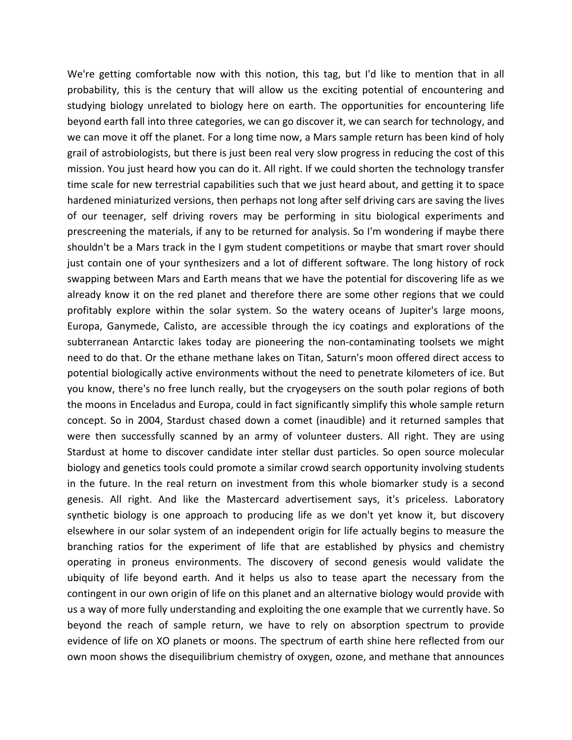We're getting comfortable now with this notion, this tag, but I'd like to mention that in all probability, this is the century that will allow us the exciting potential of encountering and studying biology unrelated to biology here on earth. The opportunities for encountering life beyond earth fall into three categories, we can go discover it, we can search for technology, and we can move it off the planet. For a long time now, a Mars sample return has been kind of holy grail of astrobiologists, but there is just been real very slow progress in reducing the cost of this mission. You just heard how you can do it. All right. If we could shorten the technology transfer time scale for new terrestrial capabilities such that we just heard about, and getting it to space hardened miniaturized versions, then perhaps not long after self driving cars are saving the lives of our teenager, self driving rovers may be performing in situ biological experiments and prescreening the materials, if any to be returned for analysis. So I'm wondering if maybe there shouldn't be a Mars track in the I gym student competitions or maybe that smart rover should just contain one of your synthesizers and a lot of different software. The long history of rock swapping between Mars and Earth means that we have the potential for discovering life as we already know it on the red planet and therefore there are some other regions that we could profitably explore within the solar system. So the watery oceans of Jupiter's large moons, Europa, Ganymede, Calisto, are accessible through the icy coatings and explorations of the subterranean Antarctic lakes today are pioneering the non‐contaminating toolsets we might need to do that. Or the ethane methane lakes on Titan, Saturn's moon offered direct access to potential biologically active environments without the need to penetrate kilometers of ice. But you know, there's no free lunch really, but the cryogeysers on the south polar regions of both the moons in Enceladus and Europa, could in fact significantly simplify this whole sample return concept. So in 2004, Stardust chased down a comet (inaudible) and it returned samples that were then successfully scanned by an army of volunteer dusters. All right. They are using Stardust at home to discover candidate inter stellar dust particles. So open source molecular biology and genetics tools could promote a similar crowd search opportunity involving students in the future. In the real return on investment from this whole biomarker study is a second genesis. All right. And like the Mastercard advertisement says, it's priceless. Laboratory synthetic biology is one approach to producing life as we don't yet know it, but discovery elsewhere in our solar system of an independent origin for life actually begins to measure the branching ratios for the experiment of life that are established by physics and chemistry operating in proneus environments. The discovery of second genesis would validate the ubiquity of life beyond earth. And it helps us also to tease apart the necessary from the contingent in our own origin of life on this planet and an alternative biology would provide with us a way of more fully understanding and exploiting the one example that we currently have. So beyond the reach of sample return, we have to rely on absorption spectrum to provide evidence of life on XO planets or moons. The spectrum of earth shine here reflected from our own moon shows the disequilibrium chemistry of oxygen, ozone, and methane that announces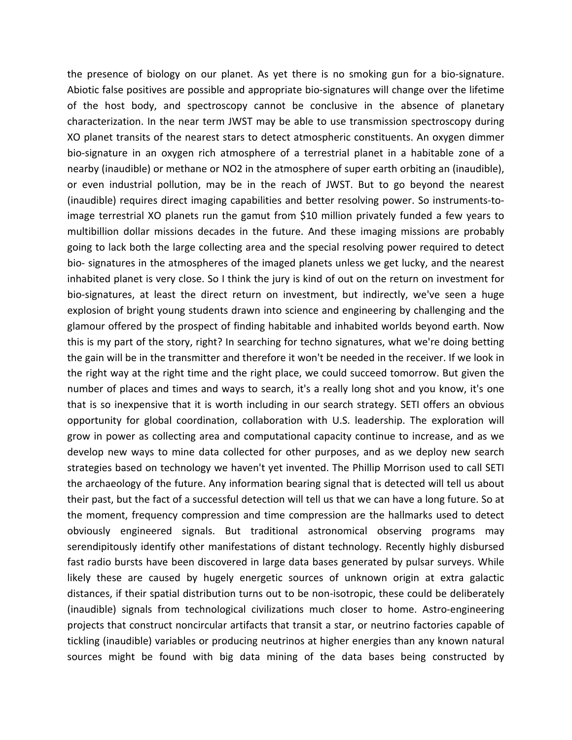the presence of biology on our planet. As yet there is no smoking gun for a bio‐signature. Abiotic false positives are possible and appropriate bio‐signatures will change over the lifetime of the host body, and spectroscopy cannot be conclusive in the absence of planetary characterization. In the near term JWST may be able to use transmission spectroscopy during XO planet transits of the nearest stars to detect atmospheric constituents. An oxygen dimmer bio‐signature in an oxygen rich atmosphere of a terrestrial planet in a habitable zone of a nearby (inaudible) or methane or NO2 in the atmosphere of super earth orbiting an (inaudible), or even industrial pollution, may be in the reach of JWST. But to go beyond the nearest (inaudible) requires direct imaging capabilities and better resolving power. So instruments‐to‐ image terrestrial XO planets run the gamut from \$10 million privately funded a few years to multibillion dollar missions decades in the future. And these imaging missions are probably going to lack both the large collecting area and the special resolving power required to detect bio‐ signatures in the atmospheres of the imaged planets unless we get lucky, and the nearest inhabited planet is very close. So I think the jury is kind of out on the return on investment for bio-signatures, at least the direct return on investment, but indirectly, we've seen a huge explosion of bright young students drawn into science and engineering by challenging and the glamour offered by the prospect of finding habitable and inhabited worlds beyond earth. Now this is my part of the story, right? In searching for techno signatures, what we're doing betting the gain will be in the transmitter and therefore it won't be needed in the receiver. If we look in the right way at the right time and the right place, we could succeed tomorrow. But given the number of places and times and ways to search, it's a really long shot and you know, it's one that is so inexpensive that it is worth including in our search strategy. SETI offers an obvious opportunity for global coordination, collaboration with U.S. leadership. The exploration will grow in power as collecting area and computational capacity continue to increase, and as we develop new ways to mine data collected for other purposes, and as we deploy new search strategies based on technology we haven't yet invented. The Phillip Morrison used to call SETI the archaeology of the future. Any information bearing signal that is detected will tell us about their past, but the fact of a successful detection will tell us that we can have a long future. So at the moment, frequency compression and time compression are the hallmarks used to detect obviously engineered signals. But traditional astronomical observing programs may serendipitously identify other manifestations of distant technology. Recently highly disbursed fast radio bursts have been discovered in large data bases generated by pulsar surveys. While likely these are caused by hugely energetic sources of unknown origin at extra galactic distances, if their spatial distribution turns out to be non-isotropic, these could be deliberately (inaudible) signals from technological civilizations much closer to home. Astro-engineering projects that construct noncircular artifacts that transit a star, or neutrino factories capable of tickling (inaudible) variables or producing neutrinos at higher energies than any known natural sources might be found with big data mining of the data bases being constructed by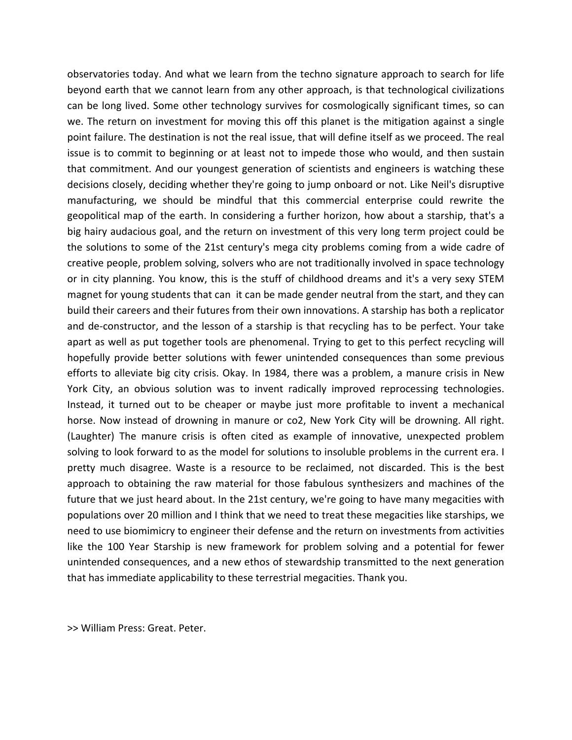observatories today. And what we learn from the techno signature approach to search for life beyond earth that we cannot learn from any other approach, is that technological civilizations can be long lived. Some other technology survives for cosmologically significant times, so can we. The return on investment for moving this off this planet is the mitigation against a single point failure. The destination is not the real issue, that will define itself as we proceed. The real issue is to commit to beginning or at least not to impede those who would, and then sustain that commitment. And our youngest generation of scientists and engineers is watching these decisions closely, deciding whether they're going to jump onboard or not. Like Neil's disruptive manufacturing, we should be mindful that this commercial enterprise could rewrite the geopolitical map of the earth. In considering a further horizon, how about a starship, that's a big hairy audacious goal, and the return on investment of this very long term project could be the solutions to some of the 21st century's mega city problems coming from a wide cadre of creative people, problem solving, solvers who are not traditionally involved in space technology or in city planning. You know, this is the stuff of childhood dreams and it's a very sexy STEM magnet for young students that can it can be made gender neutral from the start, and they can build their careers and their futures from their own innovations. A starship has both a replicator and de-constructor, and the lesson of a starship is that recycling has to be perfect. Your take apart as well as put together tools are phenomenal. Trying to get to this perfect recycling will hopefully provide better solutions with fewer unintended consequences than some previous efforts to alleviate big city crisis. Okay. In 1984, there was a problem, a manure crisis in New York City, an obvious solution was to invent radically improved reprocessing technologies. Instead, it turned out to be cheaper or maybe just more profitable to invent a mechanical horse. Now instead of drowning in manure or co2, New York City will be drowning. All right. (Laughter) The manure crisis is often cited as example of innovative, unexpected problem solving to look forward to as the model for solutions to insoluble problems in the current era. I pretty much disagree. Waste is a resource to be reclaimed, not discarded. This is the best approach to obtaining the raw material for those fabulous synthesizers and machines of the future that we just heard about. In the 21st century, we're going to have many megacities with populations over 20 million and I think that we need to treat these megacities like starships, we need to use biomimicry to engineer their defense and the return on investments from activities like the 100 Year Starship is new framework for problem solving and a potential for fewer unintended consequences, and a new ethos of stewardship transmitted to the next generation that has immediate applicability to these terrestrial megacities. Thank you.

>> William Press: Great. Peter.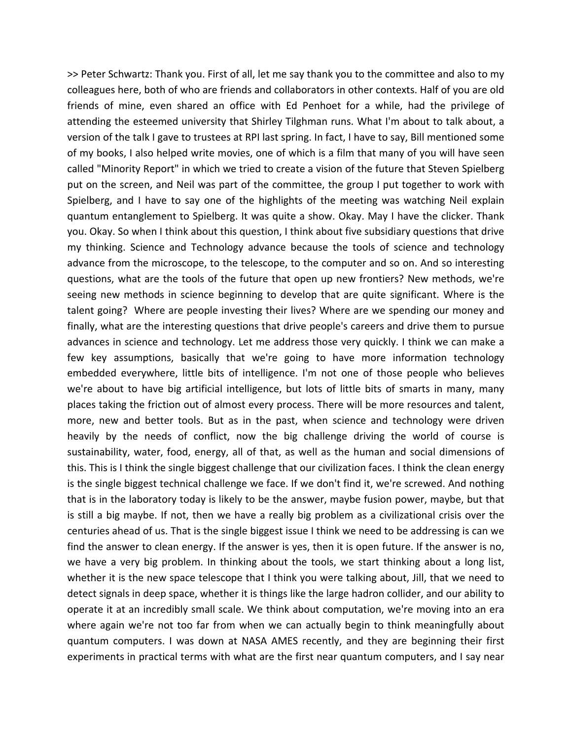>> Peter Schwartz: Thank you. First of all, let me say thank you to the committee and also to my colleagues here, both of who are friends and collaborators in other contexts. Half of you are old friends of mine, even shared an office with Ed Penhoet for a while, had the privilege of attending the esteemed university that Shirley Tilghman runs. What I'm about to talk about, a version of the talk I gave to trustees at RPI last spring. In fact, I have to say, Bill mentioned some of my books, I also helped write movies, one of which is a film that many of you will have seen called "Minority Report" in which we tried to create a vision of the future that Steven Spielberg put on the screen, and Neil was part of the committee, the group I put together to work with Spielberg, and I have to say one of the highlights of the meeting was watching Neil explain quantum entanglement to Spielberg. It was quite a show. Okay. May I have the clicker. Thank you. Okay. So when I think about this question, I think about five subsidiary questions that drive my thinking. Science and Technology advance because the tools of science and technology advance from the microscope, to the telescope, to the computer and so on. And so interesting questions, what are the tools of the future that open up new frontiers? New methods, we're seeing new methods in science beginning to develop that are quite significant. Where is the talent going? Where are people investing their lives? Where are we spending our money and finally, what are the interesting questions that drive people's careers and drive them to pursue advances in science and technology. Let me address those very quickly. I think we can make a few key assumptions, basically that we're going to have more information technology embedded everywhere, little bits of intelligence. I'm not one of those people who believes we're about to have big artificial intelligence, but lots of little bits of smarts in many, many places taking the friction out of almost every process. There will be more resources and talent, more, new and better tools. But as in the past, when science and technology were driven heavily by the needs of conflict, now the big challenge driving the world of course is sustainability, water, food, energy, all of that, as well as the human and social dimensions of this. This is I think the single biggest challenge that our civilization faces. I think the clean energy is the single biggest technical challenge we face. If we don't find it, we're screwed. And nothing that is in the laboratory today is likely to be the answer, maybe fusion power, maybe, but that is still a big maybe. If not, then we have a really big problem as a civilizational crisis over the centuries ahead of us. That is the single biggest issue I think we need to be addressing is can we find the answer to clean energy. If the answer is yes, then it is open future. If the answer is no, we have a very big problem. In thinking about the tools, we start thinking about a long list, whether it is the new space telescope that I think you were talking about, Jill, that we need to detect signals in deep space, whether it is things like the large hadron collider, and our ability to operate it at an incredibly small scale. We think about computation, we're moving into an era where again we're not too far from when we can actually begin to think meaningfully about quantum computers. I was down at NASA AMES recently, and they are beginning their first experiments in practical terms with what are the first near quantum computers, and I say near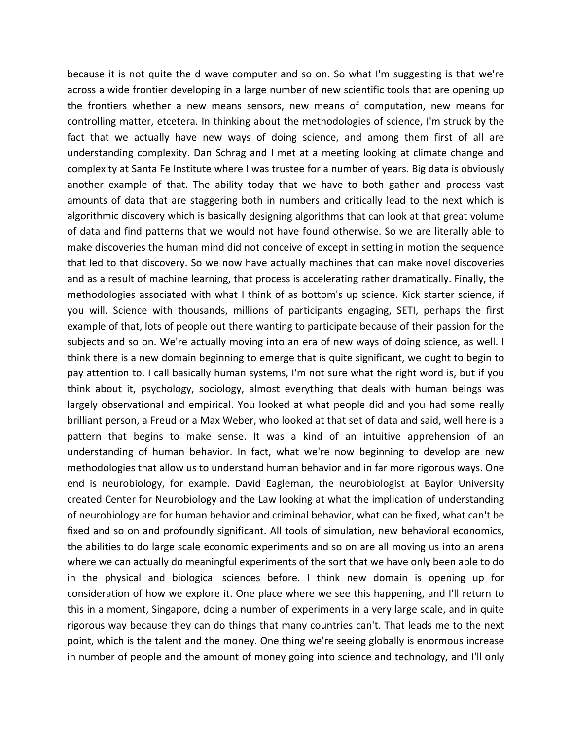because it is not quite the d wave computer and so on. So what I'm suggesting is that we're across a wide frontier developing in a large number of new scientific tools that are opening up the frontiers whether a new means sensors, new means of computation, new means for controlling matter, etcetera. In thinking about the methodologies of science, I'm struck by the fact that we actually have new ways of doing science, and among them first of all are understanding complexity. Dan Schrag and I met at a meeting looking at climate change and complexity at Santa Fe Institute where I was trustee for a number of years. Big data is obviously another example of that. The ability today that we have to both gather and process vast amounts of data that are staggering both in numbers and critically lead to the next which is algorithmic discovery which is basically designing algorithms that can look at that great volume of data and find patterns that we would not have found otherwise. So we are literally able to make discoveries the human mind did not conceive of except in setting in motion the sequence that led to that discovery. So we now have actually machines that can make novel discoveries and as a result of machine learning, that process is accelerating rather dramatically. Finally, the methodologies associated with what I think of as bottom's up science. Kick starter science, if you will. Science with thousands, millions of participants engaging, SETI, perhaps the first example of that, lots of people out there wanting to participate because of their passion for the subjects and so on. We're actually moving into an era of new ways of doing science, as well. I think there is a new domain beginning to emerge that is quite significant, we ought to begin to pay attention to. I call basically human systems, I'm not sure what the right word is, but if you think about it, psychology, sociology, almost everything that deals with human beings was largely observational and empirical. You looked at what people did and you had some really brilliant person, a Freud or a Max Weber, who looked at that set of data and said, well here is a pattern that begins to make sense. It was a kind of an intuitive apprehension of an understanding of human behavior. In fact, what we're now beginning to develop are new methodologies that allow us to understand human behavior and in far more rigorous ways. One end is neurobiology, for example. David Eagleman, the neurobiologist at Baylor University created Center for Neurobiology and the Law looking at what the implication of understanding of neurobiology are for human behavior and criminal behavior, what can be fixed, what can't be fixed and so on and profoundly significant. All tools of simulation, new behavioral economics, the abilities to do large scale economic experiments and so on are all moving us into an arena where we can actually do meaningful experiments of the sort that we have only been able to do in the physical and biological sciences before. I think new domain is opening up for consideration of how we explore it. One place where we see this happening, and I'll return to this in a moment, Singapore, doing a number of experiments in a very large scale, and in quite rigorous way because they can do things that many countries can't. That leads me to the next point, which is the talent and the money. One thing we're seeing globally is enormous increase in number of people and the amount of money going into science and technology, and I'll only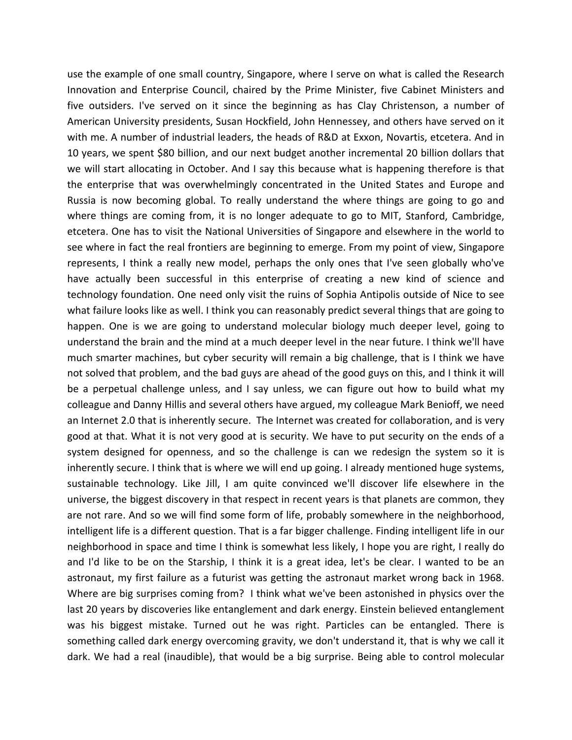use the example of one small country, Singapore, where I serve on what is called the Research Innovation and Enterprise Council, chaired by the Prime Minister, five Cabinet Ministers and five outsiders. I've served on it since the beginning as has Clay Christenson, a number of American University presidents, Susan Hockfield, John Hennessey, and others have served on it with me. A number of industrial leaders, the heads of R&D at Exxon, Novartis, etcetera. And in 10 years, we spent \$80 billion, and our next budget another incremental 20 billion dollars that we will start allocating in October. And I say this because what is happening therefore is that the enterprise that was overwhelmingly concentrated in the United States and Europe and Russia is now becoming global. To really understand the where things are going to go and where things are coming from, it is no longer adequate to go to MIT, Stanford, Cambridge, etcetera. One has to visit the National Universities of Singapore and elsewhere in the world to see where in fact the real frontiers are beginning to emerge. From my point of view, Singapore represents, I think a really new model, perhaps the only ones that I've seen globally who've have actually been successful in this enterprise of creating a new kind of science and technology foundation. One need only visit the ruins of Sophia Antipolis outside of Nice to see what failure looks like as well. I think you can reasonably predict several things that are going to happen. One is we are going to understand molecular biology much deeper level, going to understand the brain and the mind at a much deeper level in the near future. I think we'll have much smarter machines, but cyber security will remain a big challenge, that is I think we have not solved that problem, and the bad guys are ahead of the good guys on this, and I think it will be a perpetual challenge unless, and I say unless, we can figure out how to build what my colleague and Danny Hillis and several others have argued, my colleague Mark Benioff, we need an Internet 2.0 that is inherently secure. The Internet was created for collaboration, and is very good at that. What it is not very good at is security. We have to put security on the ends of a system designed for openness, and so the challenge is can we redesign the system so it is inherently secure. I think that is where we will end up going. I already mentioned huge systems, sustainable technology. Like Jill, I am quite convinced we'll discover life elsewhere in the universe, the biggest discovery in that respect in recent years is that planets are common, they are not rare. And so we will find some form of life, probably somewhere in the neighborhood, intelligent life is a different question. That is a far bigger challenge. Finding intelligent life in our neighborhood in space and time I think is somewhat less likely, I hope you are right, I really do and I'd like to be on the Starship, I think it is a great idea, let's be clear. I wanted to be an astronaut, my first failure as a futurist was getting the astronaut market wrong back in 1968. Where are big surprises coming from? I think what we've been astonished in physics over the last 20 years by discoveries like entanglement and dark energy. Einstein believed entanglement was his biggest mistake. Turned out he was right. Particles can be entangled. There is something called dark energy overcoming gravity, we don't understand it, that is why we call it dark. We had a real (inaudible), that would be a big surprise. Being able to control molecular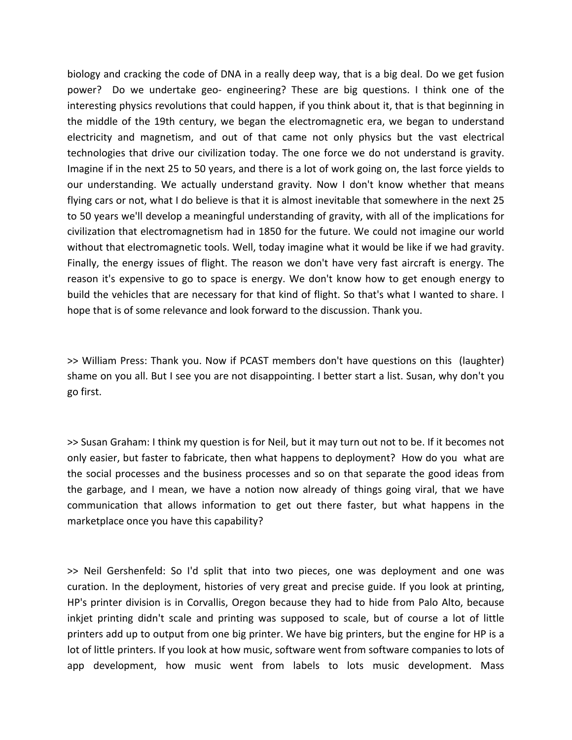biology and cracking the code of DNA in a really deep way, that is a big deal. Do we get fusion power? Do we undertake geo‐ engineering? These are big questions. I think one of the interesting physics revolutions that could happen, if you think about it, that is that beginning in the middle of the 19th century, we began the electromagnetic era, we began to understand electricity and magnetism, and out of that came not only physics but the vast electrical technologies that drive our civilization today. The one force we do not understand is gravity. Imagine if in the next 25 to 50 years, and there is a lot of work going on, the last force yields to our understanding. We actually understand gravity. Now I don't know whether that means flying cars or not, what I do believe is that it is almost inevitable that somewhere in the next 25 to 50 years we'll develop a meaningful understanding of gravity, with all of the implications for civilization that electromagnetism had in 1850 for the future. We could not imagine our world without that electromagnetic tools. Well, today imagine what it would be like if we had gravity. Finally, the energy issues of flight. The reason we don't have very fast aircraft is energy. The reason it's expensive to go to space is energy. We don't know how to get enough energy to build the vehicles that are necessary for that kind of flight. So that's what I wanted to share. I hope that is of some relevance and look forward to the discussion. Thank you.

>> William Press: Thank you. Now if PCAST members don't have questions on this (laughter) shame on you all. But I see you are not disappointing. I better start a list. Susan, why don't you go first.

>> Susan Graham: I think my question is for Neil, but it may turn out not to be. If it becomes not only easier, but faster to fabricate, then what happens to deployment? How do you what are the social processes and the business processes and so on that separate the good ideas from the garbage, and I mean, we have a notion now already of things going viral, that we have communication that allows information to get out there faster, but what happens in the marketplace once you have this capability?

>> Neil Gershenfeld: So I'd split that into two pieces, one was deployment and one was curation. In the deployment, histories of very great and precise guide. If you look at printing, HP's printer division is in Corvallis, Oregon because they had to hide from Palo Alto, because inkjet printing didn't scale and printing was supposed to scale, but of course a lot of little printers add up to output from one big printer. We have big printers, but the engine for HP is a lot of little printers. If you look at how music, software went from software companies to lots of app development, how music went from labels to lots music development. Mass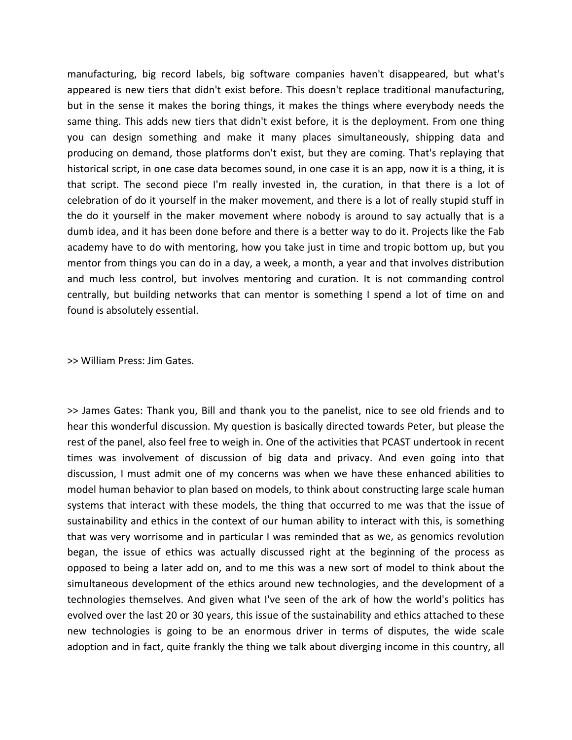manufacturing, big record labels, big software companies haven't disappeared, but what's appeared is new tiers that didn't exist before. This doesn't replace traditional manufacturing, but in the sense it makes the boring things, it makes the things where everybody needs the same thing. This adds new tiers that didn't exist before, it is the deployment. From one thing you can design something and make it many places simultaneously, shipping data and producing on demand, those platforms don't exist, but they are coming. That's replaying that historical script, in one case data becomes sound, in one case it is an app, now it is a thing, it is that script. The second piece I'm really invested in, the curation, in that there is a lot of celebration of do it yourself in the maker movement, and there is a lot of really stupid stuff in the do it yourself in the maker movement where nobody is around to say actually that is a dumb idea, and it has been done before and there is a better way to do it. Projects like the Fab academy have to do with mentoring, how you take just in time and tropic bottom up, but you mentor from things you can do in a day, a week, a month, a year and that involves distribution and much less control, but involves mentoring and curation. It is not commanding control centrally, but building networks that can mentor is something I spend a lot of time on and found is absolutely essential.

>> William Press: Jim Gates.

>> James Gates: Thank you, Bill and thank you to the panelist, nice to see old friends and to hear this wonderful discussion. My question is basically directed towards Peter, but please the rest of the panel, also feel free to weigh in. One of the activities that PCAST undertook in recent times was involvement of discussion of big data and privacy. And even going into that discussion, I must admit one of my concerns was when we have these enhanced abilities to model human behavior to plan based on models, to think about constructing large scale human systems that interact with these models, the thing that occurred to me was that the issue of sustainability and ethics in the context of our human ability to interact with this, is something that was very worrisome and in particular I was reminded that as we, as genomics revolution began, the issue of ethics was actually discussed right at the beginning of the process as opposed to being a later add on, and to me this was a new sort of model to think about the simultaneous development of the ethics around new technologies, and the development of a technologies themselves. And given what I've seen of the ark of how the world's politics has evolved over the last 20 or 30 years, this issue of the sustainability and ethics attached to these new technologies is going to be an enormous driver in terms of disputes, the wide scale adoption and in fact, quite frankly the thing we talk about diverging income in this country, all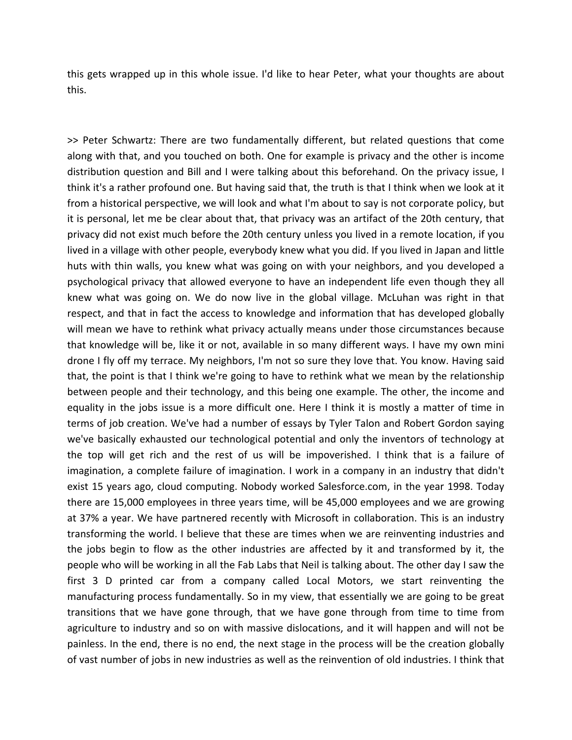this gets wrapped up in this whole issue. I'd like to hear Peter, what your thoughts are about this.

>> Peter Schwartz: There are two fundamentally different, but related questions that come along with that, and you touched on both. One for example is privacy and the other is income distribution question and Bill and I were talking about this beforehand. On the privacy issue, I think it's a rather profound one. But having said that, the truth is that I think when we look at it from a historical perspective, we will look and what I'm about to say is not corporate policy, but it is personal, let me be clear about that, that privacy was an artifact of the 20th century, that privacy did not exist much before the 20th century unless you lived in a remote location, if you lived in a village with other people, everybody knew what you did. If you lived in Japan and little huts with thin walls, you knew what was going on with your neighbors, and you developed a psychological privacy that allowed everyone to have an independent life even though they all knew what was going on. We do now live in the global village. McLuhan was right in that respect, and that in fact the access to knowledge and information that has developed globally will mean we have to rethink what privacy actually means under those circumstances because that knowledge will be, like it or not, available in so many different ways. I have my own mini drone I fly off my terrace. My neighbors, I'm not so sure they love that. You know. Having said that, the point is that I think we're going to have to rethink what we mean by the relationship between people and their technology, and this being one example. The other, the income and equality in the jobs issue is a more difficult one. Here I think it is mostly a matter of time in terms of job creation. We've had a number of essays by Tyler Talon and Robert Gordon saying we've basically exhausted our technological potential and only the inventors of technology at the top will get rich and the rest of us will be impoverished. I think that is a failure of imagination, a complete failure of imagination. I work in a company in an industry that didn't exist 15 years ago, cloud computing. Nobody worked Salesforce.com, in the year 1998. Today there are 15,000 employees in three years time, will be 45,000 employees and we are growing at 37% a year. We have partnered recently with Microsoft in collaboration. This is an industry transforming the world. I believe that these are times when we are reinventing industries and the jobs begin to flow as the other industries are affected by it and transformed by it, the people who will be working in all the Fab Labs that Neil is talking about. The other day I saw the first 3 D printed car from a company called Local Motors, we start reinventing the manufacturing process fundamentally. So in my view, that essentially we are going to be great transitions that we have gone through, that we have gone through from time to time from agriculture to industry and so on with massive dislocations, and it will happen and will not be painless. In the end, there is no end, the next stage in the process will be the creation globally of vast number of jobs in new industries as well as the reinvention of old industries. I think that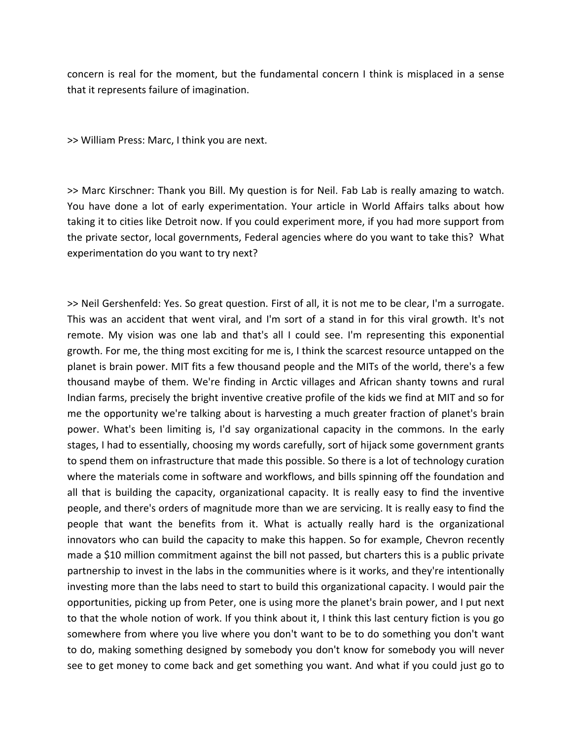concern is real for the moment, but the fundamental concern I think is misplaced in a sense that it represents failure of imagination.

>> William Press: Marc, I think you are next.

>> Marc Kirschner: Thank you Bill. My question is for Neil. Fab Lab is really amazing to watch. You have done a lot of early experimentation. Your article in World Affairs talks about how taking it to cities like Detroit now. If you could experiment more, if you had more support from the private sector, local governments, Federal agencies where do you want to take this? What experimentation do you want to try next?

>> Neil Gershenfeld: Yes. So great question. First of all, it is not me to be clear, I'm a surrogate. This was an accident that went viral, and I'm sort of a stand in for this viral growth. It's not remote. My vision was one lab and that's all I could see. I'm representing this exponential growth. For me, the thing most exciting for me is, I think the scarcest resource untapped on the planet is brain power. MIT fits a few thousand people and the MITs of the world, there's a few thousand maybe of them. We're finding in Arctic villages and African shanty towns and rural Indian farms, precisely the bright inventive creative profile of the kids we find at MIT and so for me the opportunity we're talking about is harvesting a much greater fraction of planet's brain power. What's been limiting is, I'd say organizational capacity in the commons. In the early stages, I had to essentially, choosing my words carefully, sort of hijack some government grants to spend them on infrastructure that made this possible. So there is a lot of technology curation where the materials come in software and workflows, and bills spinning off the foundation and all that is building the capacity, organizational capacity. It is really easy to find the inventive people, and there's orders of magnitude more than we are servicing. It is really easy to find the people that want the benefits from it. What is actually really hard is the organizational innovators who can build the capacity to make this happen. So for example, Chevron recently made a \$10 million commitment against the bill not passed, but charters this is a public private partnership to invest in the labs in the communities where is it works, and they're intentionally investing more than the labs need to start to build this organizational capacity. I would pair the opportunities, picking up from Peter, one is using more the planet's brain power, and I put next to that the whole notion of work. If you think about it, I think this last century fiction is you go somewhere from where you live where you don't want to be to do something you don't want to do, making something designed by somebody you don't know for somebody you will never see to get money to come back and get something you want. And what if you could just go to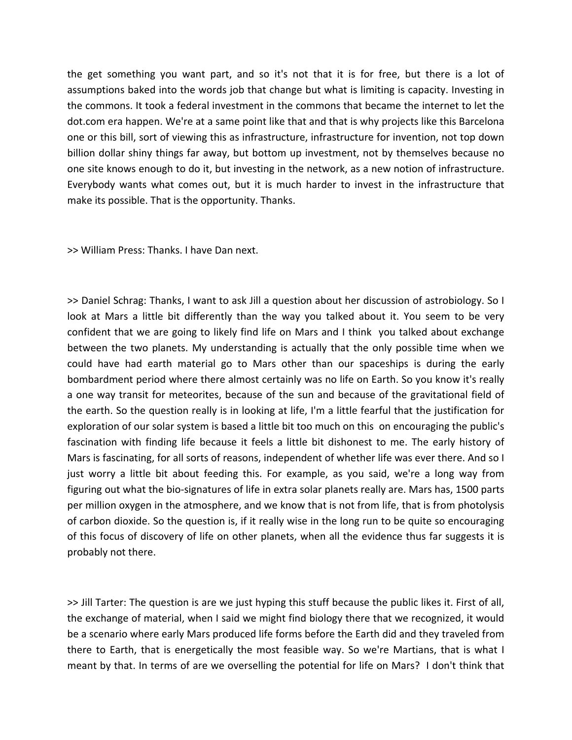the get something you want part, and so it's not that it is for free, but there is a lot of assumptions baked into the words job that change but what is limiting is capacity. Investing in the commons. It took a federal investment in the commons that became the internet to let the dot.com era happen. We're at a same point like that and that is why projects like this Barcelona one or this bill, sort of viewing this as infrastructure, infrastructure for invention, not top down billion dollar shiny things far away, but bottom up investment, not by themselves because no one site knows enough to do it, but investing in the network, as a new notion of infrastructure. Everybody wants what comes out, but it is much harder to invest in the infrastructure that make its possible. That is the opportunity. Thanks.

>> William Press: Thanks. I have Dan next.

>> Daniel Schrag: Thanks, I want to ask Jill a question about her discussion of astrobiology. So I look at Mars a little bit differently than the way you talked about it. You seem to be very confident that we are going to likely find life on Mars and I think you talked about exchange between the two planets. My understanding is actually that the only possible time when we could have had earth material go to Mars other than our spaceships is during the early bombardment period where there almost certainly was no life on Earth. So you know it's really a one way transit for meteorites, because of the sun and because of the gravitational field of the earth. So the question really is in looking at life, I'm a little fearful that the justification for exploration of our solar system is based a little bit too much on this on encouraging the public's fascination with finding life because it feels a little bit dishonest to me. The early history of Mars is fascinating, for all sorts of reasons, independent of whether life was ever there. And so I just worry a little bit about feeding this. For example, as you said, we're a long way from figuring out what the bio‐signatures of life in extra solar planets really are. Mars has, 1500 parts per million oxygen in the atmosphere, and we know that is not from life, that is from photolysis of carbon dioxide. So the question is, if it really wise in the long run to be quite so encouraging of this focus of discovery of life on other planets, when all the evidence thus far suggests it is probably not there.

>> Jill Tarter: The question is are we just hyping this stuff because the public likes it. First of all, the exchange of material, when I said we might find biology there that we recognized, it would be a scenario where early Mars produced life forms before the Earth did and they traveled from there to Earth, that is energetically the most feasible way. So we're Martians, that is what I meant by that. In terms of are we overselling the potential for life on Mars? I don't think that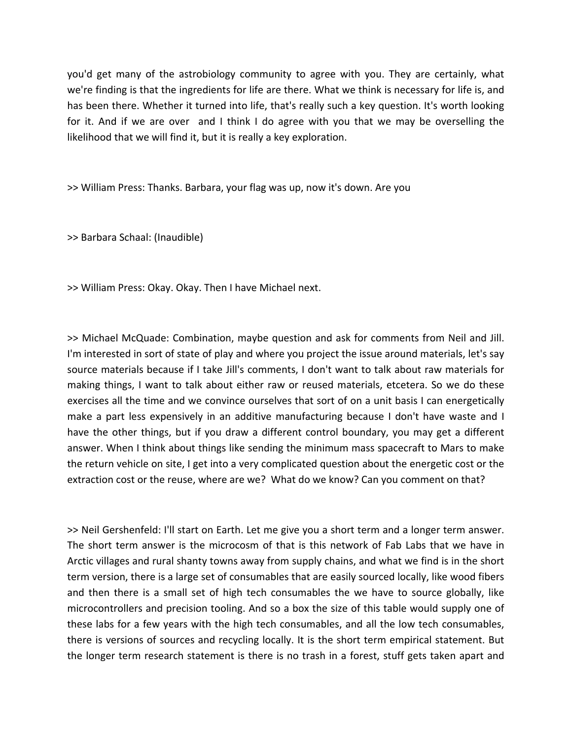you'd get many of the astrobiology community to agree with you. They are certainly, what we're finding is that the ingredients for life are there. What we think is necessary for life is, and has been there. Whether it turned into life, that's really such a key question. It's worth looking for it. And if we are over and I think I do agree with you that we may be overselling the likelihood that we will find it, but it is really a key exploration.

>> William Press: Thanks. Barbara, your flag was up, now it's down. Are you

>> Barbara Schaal: (Inaudible)

>> William Press: Okay. Okay. Then I have Michael next.

>> Michael McQuade: Combination, maybe question and ask for comments from Neil and Jill. I'm interested in sort of state of play and where you project the issue around materials, let's say source materials because if I take Jill's comments, I don't want to talk about raw materials for making things, I want to talk about either raw or reused materials, etcetera. So we do these exercises all the time and we convince ourselves that sort of on a unit basis I can energetically make a part less expensively in an additive manufacturing because I don't have waste and I have the other things, but if you draw a different control boundary, you may get a different answer. When I think about things like sending the minimum mass spacecraft to Mars to make the return vehicle on site, I get into a very complicated question about the energetic cost or the extraction cost or the reuse, where are we? What do we know? Can you comment on that?

>> Neil Gershenfeld: I'll start on Earth. Let me give you a short term and a longer term answer. The short term answer is the microcosm of that is this network of Fab Labs that we have in Arctic villages and rural shanty towns away from supply chains, and what we find is in the short term version, there is a large set of consumables that are easily sourced locally, like wood fibers and then there is a small set of high tech consumables the we have to source globally, like microcontrollers and precision tooling. And so a box the size of this table would supply one of these labs for a few years with the high tech consumables, and all the low tech consumables, there is versions of sources and recycling locally. It is the short term empirical statement. But the longer term research statement is there is no trash in a forest, stuff gets taken apart and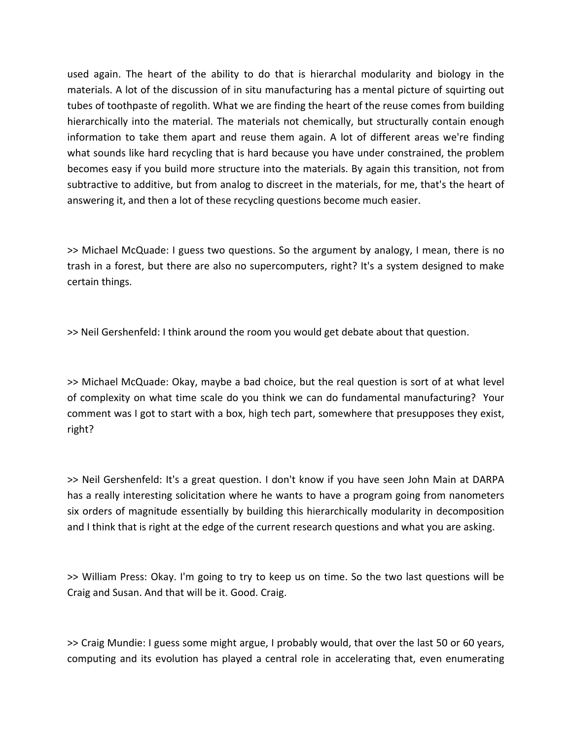used again. The heart of the ability to do that is hierarchal modularity and biology in the materials. A lot of the discussion of in situ manufacturing has a mental picture of squirting out tubes of toothpaste of regolith. What we are finding the heart of the reuse comes from building hierarchically into the material. The materials not chemically, but structurally contain enough information to take them apart and reuse them again. A lot of different areas we're finding what sounds like hard recycling that is hard because you have under constrained, the problem becomes easy if you build more structure into the materials. By again this transition, not from subtractive to additive, but from analog to discreet in the materials, for me, that's the heart of answering it, and then a lot of these recycling questions become much easier.

>> Michael McQuade: I guess two questions. So the argument by analogy, I mean, there is no trash in a forest, but there are also no supercomputers, right? It's a system designed to make certain things.

>> Neil Gershenfeld: I think around the room you would get debate about that question.

>> Michael McQuade: Okay, maybe a bad choice, but the real question is sort of at what level of complexity on what time scale do you think we can do fundamental manufacturing? Your comment was I got to start with a box, high tech part, somewhere that presupposes they exist, right?

>> Neil Gershenfeld: It's a great question. I don't know if you have seen John Main at DARPA has a really interesting solicitation where he wants to have a program going from nanometers six orders of magnitude essentially by building this hierarchically modularity in decomposition and I think that is right at the edge of the current research questions and what you are asking.

>> William Press: Okay. I'm going to try to keep us on time. So the two last questions will be Craig and Susan. And that will be it. Good. Craig.

>> Craig Mundie: I guess some might argue, I probably would, that over the last 50 or 60 years, computing and its evolution has played a central role in accelerating that, even enumerating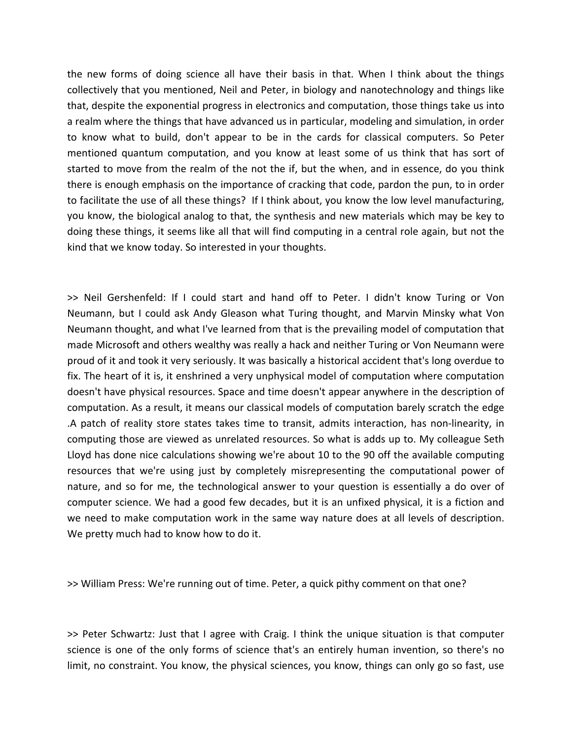the new forms of doing science all have their basis in that. When I think about the things collectively that you mentioned, Neil and Peter, in biology and nanotechnology and things like that, despite the exponential progress in electronics and computation, those things take us into a realm where the things that have advanced us in particular, modeling and simulation, in order to know what to build, don't appear to be in the cards for classical computers. So Peter mentioned quantum computation, and you know at least some of us think that has sort of started to move from the realm of the not the if, but the when, and in essence, do you think there is enough emphasis on the importance of cracking that code, pardon the pun, to in order to facilitate the use of all these things? If I think about, you know the low level manufacturing, you know, the biological analog to that, the synthesis and new materials which may be key to doing these things, it seems like all that will find computing in a central role again, but not the kind that we know today. So interested in your thoughts.

>> Neil Gershenfeld: If I could start and hand off to Peter. I didn't know Turing or Von Neumann, but I could ask Andy Gleason what Turing thought, and Marvin Minsky what Von Neumann thought, and what I've learned from that is the prevailing model of computation that made Microsoft and others wealthy was really a hack and neither Turing or Von Neumann were proud of it and took it very seriously. It was basically a historical accident that's long overdue to fix. The heart of it is, it enshrined a very unphysical model of computation where computation doesn't have physical resources. Space and time doesn't appear anywhere in the description of computation. As a result, it means our classical models of computation barely scratch the edge .A patch of reality store states takes time to transit, admits interaction, has non‐linearity, in computing those are viewed as unrelated resources. So what is adds up to. My colleague Seth Lloyd has done nice calculations showing we're about 10 to the 90 off the available computing resources that we're using just by completely misrepresenting the computational power of nature, and so for me, the technological answer to your question is essentially a do over of computer science. We had a good few decades, but it is an unfixed physical, it is a fiction and we need to make computation work in the same way nature does at all levels of description. We pretty much had to know how to do it.

>> William Press: We're running out of time. Peter, a quick pithy comment on that one?

>> Peter Schwartz: Just that I agree with Craig. I think the unique situation is that computer science is one of the only forms of science that's an entirely human invention, so there's no limit, no constraint. You know, the physical sciences, you know, things can only go so fast, use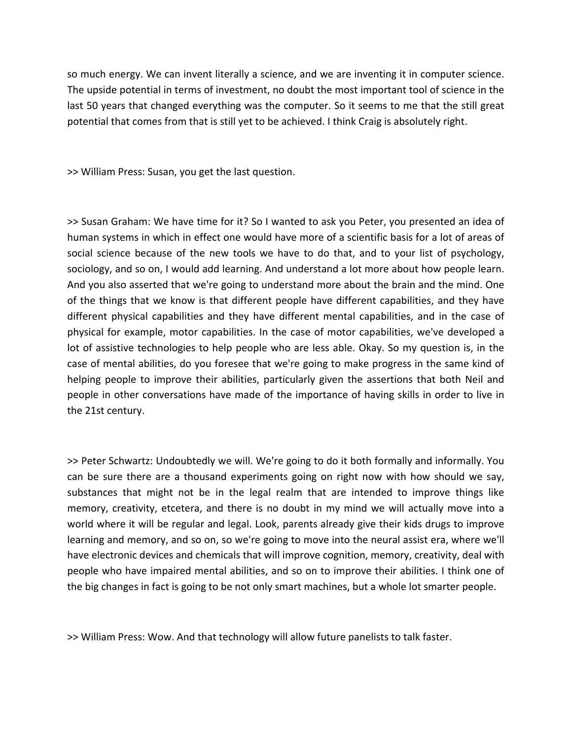so much energy. We can invent literally a science, and we are inventing it in computer science. The upside potential in terms of investment, no doubt the most important tool of science in the last 50 years that changed everything was the computer. So it seems to me that the still great potential that comes from that is still yet to be achieved. I think Craig is absolutely right.

>> William Press: Susan, you get the last question.

>> Susan Graham: We have time for it? So I wanted to ask you Peter, you presented an idea of human systems in which in effect one would have more of a scientific basis for a lot of areas of social science because of the new tools we have to do that, and to your list of psychology, sociology, and so on, I would add learning. And understand a lot more about how people learn. And you also asserted that we're going to understand more about the brain and the mind. One of the things that we know is that different people have different capabilities, and they have different physical capabilities and they have different mental capabilities, and in the case of physical for example, motor capabilities. In the case of motor capabilities, we've developed a lot of assistive technologies to help people who are less able. Okay. So my question is, in the case of mental abilities, do you foresee that we're going to make progress in the same kind of helping people to improve their abilities, particularly given the assertions that both Neil and people in other conversations have made of the importance of having skills in order to live in the 21st century.

>> Peter Schwartz: Undoubtedly we will. We're going to do it both formally and informally. You can be sure there are a thousand experiments going on right now with how should we say, substances that might not be in the legal realm that are intended to improve things like memory, creativity, etcetera, and there is no doubt in my mind we will actually move into a world where it will be regular and legal. Look, parents already give their kids drugs to improve learning and memory, and so on, so we're going to move into the neural assist era, where we'll have electronic devices and chemicals that will improve cognition, memory, creativity, deal with people who have impaired mental abilities, and so on to improve their abilities. I think one of the big changes in fact is going to be not only smart machines, but a whole lot smarter people.

>> William Press: Wow. And that technology will allow future panelists to talk faster.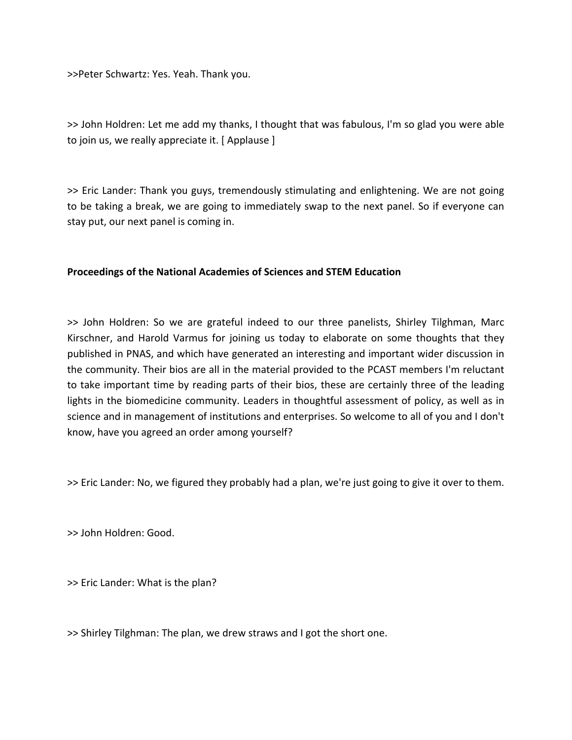>>Peter Schwartz: Yes. Yeah. Thank you.

>> John Holdren: Let me add my thanks, I thought that was fabulous, I'm so glad you were able to join us, we really appreciate it. [ Applause ]

>> Eric Lander: Thank you guys, tremendously stimulating and enlightening. We are not going to be taking a break, we are going to immediately swap to the next panel. So if everyone can stay put, our next panel is coming in.

## **Proceedings of the National Academies of Sciences and STEM Education**

>> John Holdren: So we are grateful indeed to our three panelists, Shirley Tilghman, Marc Kirschner, and Harold Varmus for joining us today to elaborate on some thoughts that they published in PNAS, and which have generated an interesting and important wider discussion in the community. Their bios are all in the material provided to the PCAST members I'm reluctant to take important time by reading parts of their bios, these are certainly three of the leading lights in the biomedicine community. Leaders in thoughtful assessment of policy, as well as in science and in management of institutions and enterprises. So welcome to all of you and I don't know, have you agreed an order among yourself?

>> Eric Lander: No, we figured they probably had a plan, we're just going to give it over to them.

>> John Holdren: Good.

>> Eric Lander: What is the plan?

>> Shirley Tilghman: The plan, we drew straws and I got the short one.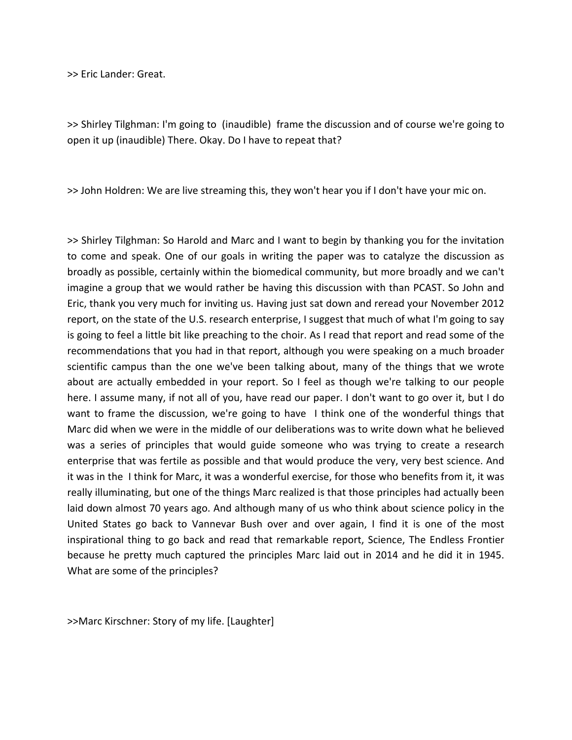>> Eric Lander: Great.

>> Shirley Tilghman: I'm going to (inaudible) frame the discussion and of course we're going to open it up (inaudible) There. Okay. Do I have to repeat that?

>> John Holdren: We are live streaming this, they won't hear you if I don't have your mic on.

>> Shirley Tilghman: So Harold and Marc and I want to begin by thanking you for the invitation to come and speak. One of our goals in writing the paper was to catalyze the discussion as broadly as possible, certainly within the biomedical community, but more broadly and we can't imagine a group that we would rather be having this discussion with than PCAST. So John and Eric, thank you very much for inviting us. Having just sat down and reread your November 2012 report, on the state of the U.S. research enterprise, I suggest that much of what I'm going to say is going to feel a little bit like preaching to the choir. As I read that report and read some of the recommendations that you had in that report, although you were speaking on a much broader scientific campus than the one we've been talking about, many of the things that we wrote about are actually embedded in your report. So I feel as though we're talking to our people here. I assume many, if not all of you, have read our paper. I don't want to go over it, but I do want to frame the discussion, we're going to have I think one of the wonderful things that Marc did when we were in the middle of our deliberations was to write down what he believed was a series of principles that would guide someone who was trying to create a research enterprise that was fertile as possible and that would produce the very, very best science. And it was in the I think for Marc, it was a wonderful exercise, for those who benefits from it, it was really illuminating, but one of the things Marc realized is that those principles had actually been laid down almost 70 years ago. And although many of us who think about science policy in the United States go back to Vannevar Bush over and over again, I find it is one of the most inspirational thing to go back and read that remarkable report, Science, The Endless Frontier because he pretty much captured the principles Marc laid out in 2014 and he did it in 1945. What are some of the principles?

>>Marc Kirschner: Story of my life. [Laughter]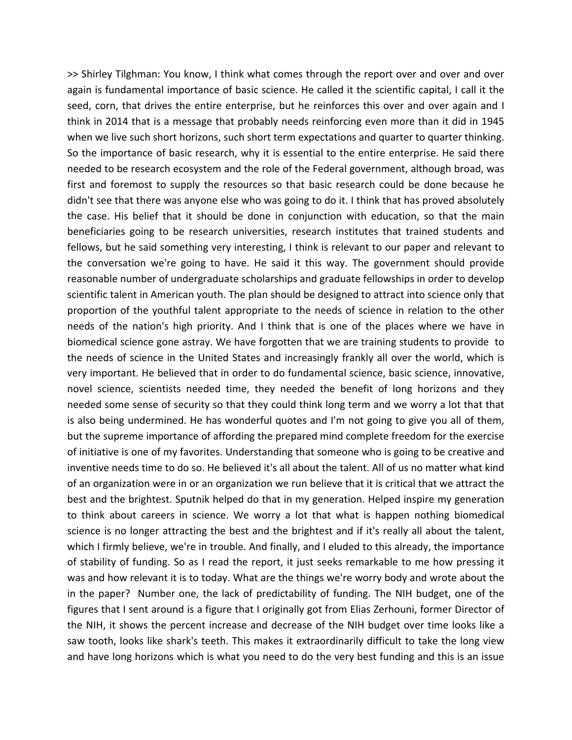>> Shirley Tilghman: You know, I think what comes through the report over and over and over again is fundamental importance of basic science. He called it the scientific capital, I call it the seed, corn, that drives the entire enterprise, but he reinforces this over and over again and I think in 2014 that is a message that probably needs reinforcing even more than it did in 1945 when we live such short horizons, such short term expectations and quarter to quarter thinking. So the importance of basic research, why it is essential to the entire enterprise. He said there needed to be research ecosystem and the role of the Federal government, although broad, was first and foremost to supply the resources so that basic research could be done because he didn't see that there was anyone else who was going to do it. I think that has proved absolutely the case. His belief that it should be done in conjunction with education, so that the main beneficiaries going to be research universities, research institutes that trained students and fellows, but he said something very interesting, I think is relevant to our paper and relevant to the conversation we're going to have. He said it this way. The government should provide reasonable number of undergraduate scholarships and graduate fellowships in order to develop scientific talent in American youth. The plan should be designed to attract into science only that proportion of the youthful talent appropriate to the needs of science in relation to the other needs of the nation's high priority. And I think that is one of the places where we have in biomedical science gone astray. We have forgotten that we are training students to provide to the needs of science in the United States and increasingly frankly all over the world, which is very important. He believed that in order to do fundamental science, basic science, innovative, novel science, scientists needed time, they needed the benefit of long horizons and they needed some sense of security so that they could think long term and we worry a lot that that is also being undermined. He has wonderful quotes and I'm not going to give you all of them, but the supreme importance of affording the prepared mind complete freedom for the exercise of initiative is one of my favorites. Understanding that someone who is going to be creative and inventive needs time to do so. He believed it's all about the talent. All of us no matter what kind of an organization were in or an organization we run believe that it is critical that we attract the best and the brightest. Sputnik helped do that in my generation. Helped inspire my generation to think about careers in science. We worry a lot that what is happen nothing biomedical science is no longer attracting the best and the brightest and if it's really all about the talent, which I firmly believe, we're in trouble. And finally, and I eluded to this already, the importance of stability of funding. So as I read the report, it just seeks remarkable to me how pressing it was and how relevant it is to today. What are the things we're worry body and wrote about the in the paper? Number one, the lack of predictability of funding. The NIH budget, one of the figures that I sent around is a figure that I originally got from Elias Zerhouni, former Director of the NIH, it shows the percent increase and decrease of the NIH budget over time looks like a saw tooth, looks like shark's teeth. This makes it extraordinarily difficult to take the long view and have long horizons which is what you need to do the very best funding and this is an issue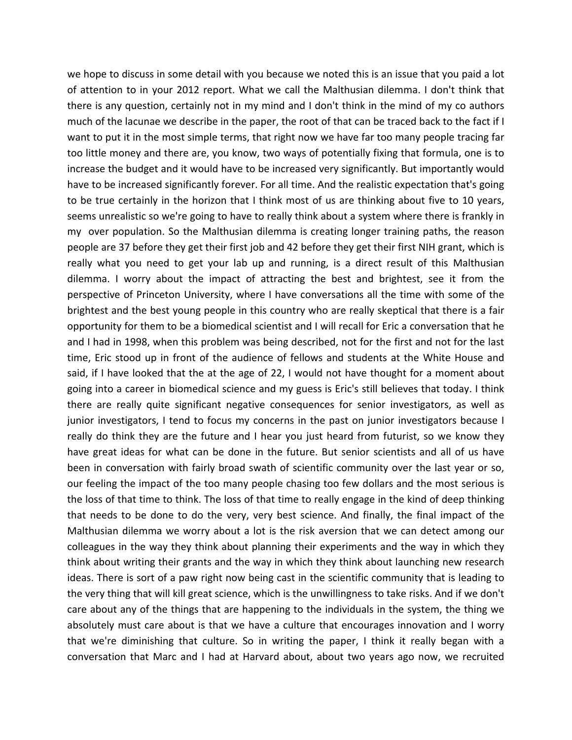we hope to discuss in some detail with you because we noted this is an issue that you paid a lot of attention to in your 2012 report. What we call the Malthusian dilemma. I don't think that there is any question, certainly not in my mind and I don't think in the mind of my co authors much of the lacunae we describe in the paper, the root of that can be traced back to the fact if I want to put it in the most simple terms, that right now we have far too many people tracing far too little money and there are, you know, two ways of potentially fixing that formula, one is to increase the budget and it would have to be increased very significantly. But importantly would have to be increased significantly forever. For all time. And the realistic expectation that's going to be true certainly in the horizon that I think most of us are thinking about five to 10 years, seems unrealistic so we're going to have to really think about a system where there is frankly in my over population. So the Malthusian dilemma is creating longer training paths, the reason people are 37 before they get their first job and 42 before they get their first NIH grant, which is really what you need to get your lab up and running, is a direct result of this Malthusian dilemma. I worry about the impact of attracting the best and brightest, see it from the perspective of Princeton University, where I have conversations all the time with some of the brightest and the best young people in this country who are really skeptical that there is a fair opportunity for them to be a biomedical scientist and I will recall for Eric a conversation that he and I had in 1998, when this problem was being described, not for the first and not for the last time, Eric stood up in front of the audience of fellows and students at the White House and said, if I have looked that the at the age of 22, I would not have thought for a moment about going into a career in biomedical science and my guess is Eric's still believes that today. I think there are really quite significant negative consequences for senior investigators, as well as junior investigators, I tend to focus my concerns in the past on junior investigators because I really do think they are the future and I hear you just heard from futurist, so we know they have great ideas for what can be done in the future. But senior scientists and all of us have been in conversation with fairly broad swath of scientific community over the last year or so, our feeling the impact of the too many people chasing too few dollars and the most serious is the loss of that time to think. The loss of that time to really engage in the kind of deep thinking that needs to be done to do the very, very best science. And finally, the final impact of the Malthusian dilemma we worry about a lot is the risk aversion that we can detect among our colleagues in the way they think about planning their experiments and the way in which they think about writing their grants and the way in which they think about launching new research ideas. There is sort of a paw right now being cast in the scientific community that is leading to the very thing that will kill great science, which is the unwillingness to take risks. And if we don't care about any of the things that are happening to the individuals in the system, the thing we absolutely must care about is that we have a culture that encourages innovation and I worry that we're diminishing that culture. So in writing the paper, I think it really began with a conversation that Marc and I had at Harvard about, about two years ago now, we recruited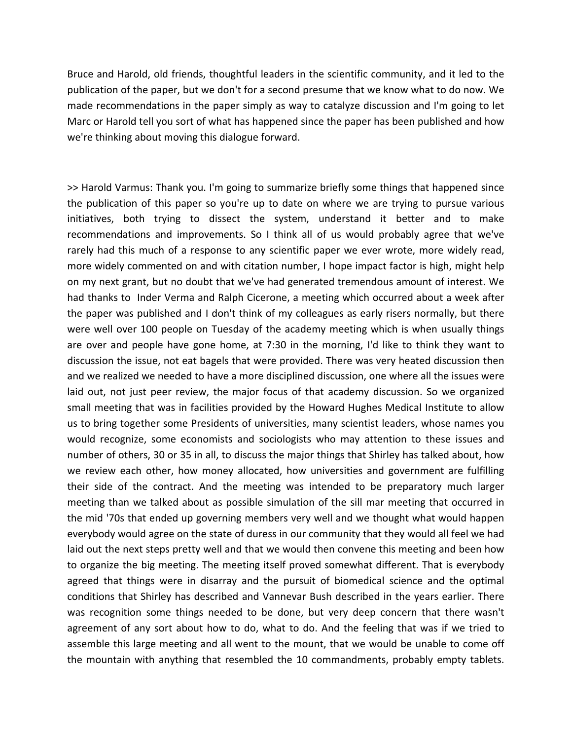Bruce and Harold, old friends, thoughtful leaders in the scientific community, and it led to the publication of the paper, but we don't for a second presume that we know what to do now. We made recommendations in the paper simply as way to catalyze discussion and I'm going to let Marc or Harold tell you sort of what has happened since the paper has been published and how we're thinking about moving this dialogue forward.

>> Harold Varmus: Thank you. I'm going to summarize briefly some things that happened since the publication of this paper so you're up to date on where we are trying to pursue various initiatives, both trying to dissect the system, understand it better and to make recommendations and improvements. So I think all of us would probably agree that we've rarely had this much of a response to any scientific paper we ever wrote, more widely read, more widely commented on and with citation number, I hope impact factor is high, might help on my next grant, but no doubt that we've had generated tremendous amount of interest. We had thanks to Inder Verma and Ralph Cicerone, a meeting which occurred about a week after the paper was published and I don't think of my colleagues as early risers normally, but there were well over 100 people on Tuesday of the academy meeting which is when usually things are over and people have gone home, at 7:30 in the morning, I'd like to think they want to discussion the issue, not eat bagels that were provided. There was very heated discussion then and we realized we needed to have a more disciplined discussion, one where all the issues were laid out, not just peer review, the major focus of that academy discussion. So we organized small meeting that was in facilities provided by the Howard Hughes Medical Institute to allow us to bring together some Presidents of universities, many scientist leaders, whose names you would recognize, some economists and sociologists who may attention to these issues and number of others, 30 or 35 in all, to discuss the major things that Shirley has talked about, how we review each other, how money allocated, how universities and government are fulfilling their side of the contract. And the meeting was intended to be preparatory much larger meeting than we talked about as possible simulation of the sill mar meeting that occurred in the mid '70s that ended up governing members very well and we thought what would happen everybody would agree on the state of duress in our community that they would all feel we had laid out the next steps pretty well and that we would then convene this meeting and been how to organize the big meeting. The meeting itself proved somewhat different. That is everybody agreed that things were in disarray and the pursuit of biomedical science and the optimal conditions that Shirley has described and Vannevar Bush described in the years earlier. There was recognition some things needed to be done, but very deep concern that there wasn't agreement of any sort about how to do, what to do. And the feeling that was if we tried to assemble this large meeting and all went to the mount, that we would be unable to come off the mountain with anything that resembled the 10 commandments, probably empty tablets.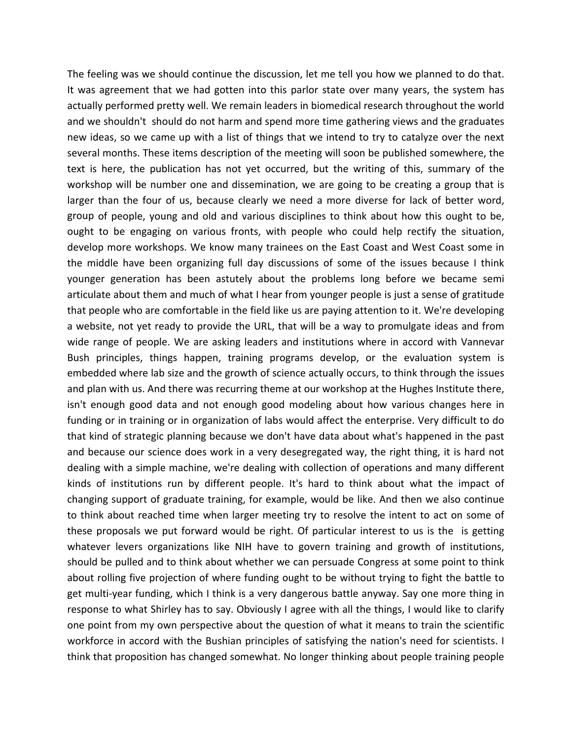The feeling was we should continue the discussion, let me tell you how we planned to do that. It was agreement that we had gotten into this parlor state over many years, the system has actually performed pretty well. We remain leaders in biomedical research throughout the world and we shouldn't should do not harm and spend more time gathering views and the graduates new ideas, so we came up with a list of things that we intend to try to catalyze over the next several months. These items description of the meeting will soon be published somewhere, the text is here, the publication has not yet occurred, but the writing of this, summary of the workshop will be number one and dissemination, we are going to be creating a group that is larger than the four of us, because clearly we need a more diverse for lack of better word, group of people, young and old and various disciplines to think about how this ought to be, ought to be engaging on various fronts, with people who could help rectify the situation, develop more workshops. We know many trainees on the East Coast and West Coast some in the middle have been organizing full day discussions of some of the issues because I think younger generation has been astutely about the problems long before we became semi articulate about them and much of what I hear from younger people is just a sense of gratitude that people who are comfortable in the field like us are paying attention to it. We're developing a website, not yet ready to provide the URL, that will be a way to promulgate ideas and from wide range of people. We are asking leaders and institutions where in accord with Vannevar Bush principles, things happen, training programs develop, or the evaluation system is embedded where lab size and the growth of science actually occurs, to think through the issues and plan with us. And there was recurring theme at our workshop at the Hughes Institute there, isn't enough good data and not enough good modeling about how various changes here in funding or in training or in organization of labs would affect the enterprise. Very difficult to do that kind of strategic planning because we don't have data about what's happened in the past and because our science does work in a very desegregated way, the right thing, it is hard not dealing with a simple machine, we're dealing with collection of operations and many different kinds of institutions run by different people. It's hard to think about what the impact of changing support of graduate training, for example, would be like. And then we also continue to think about reached time when larger meeting try to resolve the intent to act on some of these proposals we put forward would be right. Of particular interest to us is the is getting whatever levers organizations like NIH have to govern training and growth of institutions, should be pulled and to think about whether we can persuade Congress at some point to think about rolling five projection of where funding ought to be without trying to fight the battle to get multi‐year funding, which I think is a very dangerous battle anyway. Say one more thing in response to what Shirley has to say. Obviously I agree with all the things, I would like to clarify one point from my own perspective about the question of what it means to train the scientific workforce in accord with the Bushian principles of satisfying the nation's need for scientists. I think that proposition has changed somewhat. No longer thinking about people training people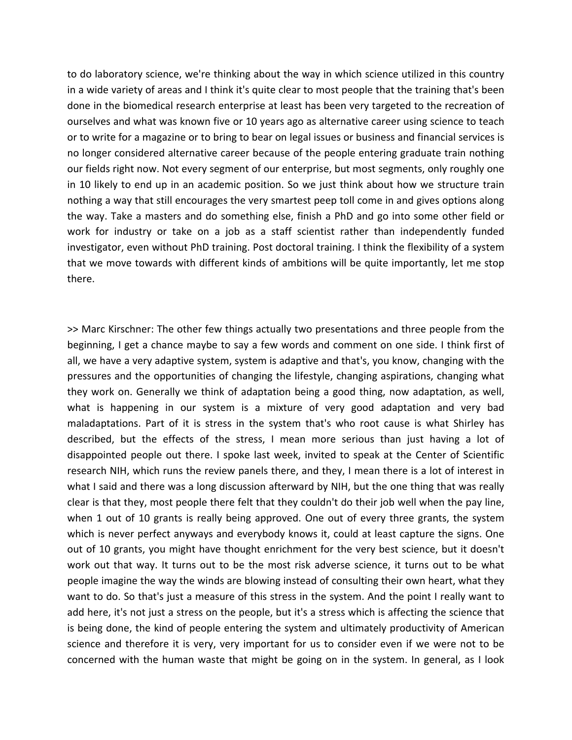to do laboratory science, we're thinking about the way in which science utilized in this country in a wide variety of areas and I think it's quite clear to most people that the training that's been done in the biomedical research enterprise at least has been very targeted to the recreation of ourselves and what was known five or 10 years ago as alternative career using science to teach or to write for a magazine or to bring to bear on legal issues or business and financial services is no longer considered alternative career because of the people entering graduate train nothing our fields right now. Not every segment of our enterprise, but most segments, only roughly one in 10 likely to end up in an academic position. So we just think about how we structure train nothing a way that still encourages the very smartest peep toll come in and gives options along the way. Take a masters and do something else, finish a PhD and go into some other field or work for industry or take on a job as a staff scientist rather than independently funded investigator, even without PhD training. Post doctoral training. I think the flexibility of a system that we move towards with different kinds of ambitions will be quite importantly, let me stop there.

>> Marc Kirschner: The other few things actually two presentations and three people from the beginning, I get a chance maybe to say a few words and comment on one side. I think first of all, we have a very adaptive system, system is adaptive and that's, you know, changing with the pressures and the opportunities of changing the lifestyle, changing aspirations, changing what they work on. Generally we think of adaptation being a good thing, now adaptation, as well, what is happening in our system is a mixture of very good adaptation and very bad maladaptations. Part of it is stress in the system that's who root cause is what Shirley has described, but the effects of the stress, I mean more serious than just having a lot of disappointed people out there. I spoke last week, invited to speak at the Center of Scientific research NIH, which runs the review panels there, and they, I mean there is a lot of interest in what I said and there was a long discussion afterward by NIH, but the one thing that was really clear is that they, most people there felt that they couldn't do their job well when the pay line, when 1 out of 10 grants is really being approved. One out of every three grants, the system which is never perfect anyways and everybody knows it, could at least capture the signs. One out of 10 grants, you might have thought enrichment for the very best science, but it doesn't work out that way. It turns out to be the most risk adverse science, it turns out to be what people imagine the way the winds are blowing instead of consulting their own heart, what they want to do. So that's just a measure of this stress in the system. And the point I really want to add here, it's not just a stress on the people, but it's a stress which is affecting the science that is being done, the kind of people entering the system and ultimately productivity of American science and therefore it is very, very important for us to consider even if we were not to be concerned with the human waste that might be going on in the system. In general, as I look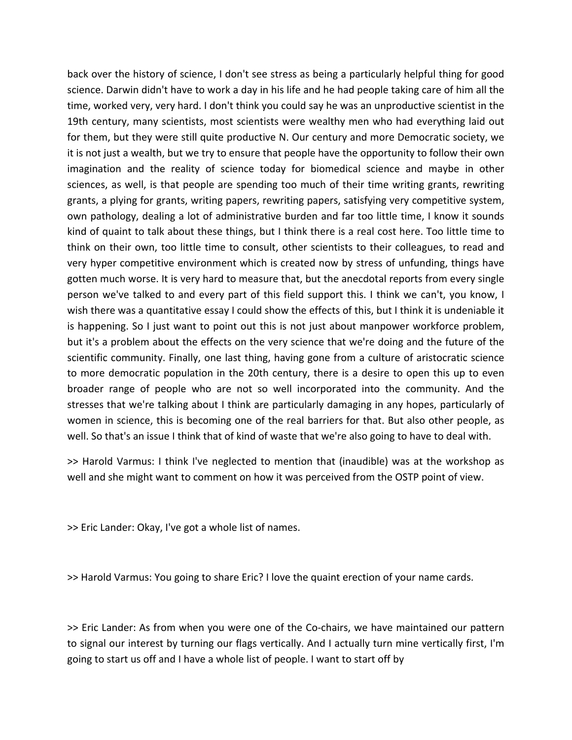back over the history of science, I don't see stress as being a particularly helpful thing for good science. Darwin didn't have to work a day in his life and he had people taking care of him all the time, worked very, very hard. I don't think you could say he was an unproductive scientist in the 19th century, many scientists, most scientists were wealthy men who had everything laid out for them, but they were still quite productive N. Our century and more Democratic society, we it is not just a wealth, but we try to ensure that people have the opportunity to follow their own imagination and the reality of science today for biomedical science and maybe in other sciences, as well, is that people are spending too much of their time writing grants, rewriting grants, a plying for grants, writing papers, rewriting papers, satisfying very competitive system, own pathology, dealing a lot of administrative burden and far too little time, I know it sounds kind of quaint to talk about these things, but I think there is a real cost here. Too little time to think on their own, too little time to consult, other scientists to their colleagues, to read and very hyper competitive environment which is created now by stress of unfunding, things have gotten much worse. It is very hard to measure that, but the anecdotal reports from every single person we've talked to and every part of this field support this. I think we can't, you know, I wish there was a quantitative essay I could show the effects of this, but I think it is undeniable it is happening. So I just want to point out this is not just about manpower workforce problem, but it's a problem about the effects on the very science that we're doing and the future of the scientific community. Finally, one last thing, having gone from a culture of aristocratic science to more democratic population in the 20th century, there is a desire to open this up to even broader range of people who are not so well incorporated into the community. And the stresses that we're talking about I think are particularly damaging in any hopes, particularly of women in science, this is becoming one of the real barriers for that. But also other people, as well. So that's an issue I think that of kind of waste that we're also going to have to deal with.

>> Harold Varmus: I think I've neglected to mention that (inaudible) was at the workshop as well and she might want to comment on how it was perceived from the OSTP point of view.

>> Eric Lander: Okay, I've got a whole list of names.

>> Harold Varmus: You going to share Eric? I love the quaint erection of your name cards.

>> Eric Lander: As from when you were one of the Co‐chairs, we have maintained our pattern to signal our interest by turning our flags vertically. And I actually turn mine vertically first, I'm going to start us off and I have a whole list of people. I want to start off by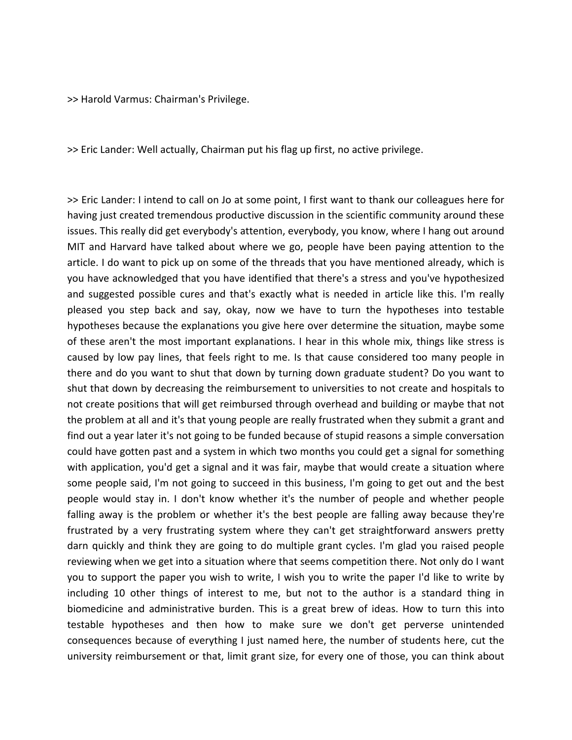>> Harold Varmus: Chairman's Privilege.

>> Eric Lander: Well actually, Chairman put his flag up first, no active privilege.

>> Eric Lander: I intend to call on Jo at some point, I first want to thank our colleagues here for having just created tremendous productive discussion in the scientific community around these issues. This really did get everybody's attention, everybody, you know, where I hang out around MIT and Harvard have talked about where we go, people have been paying attention to the article. I do want to pick up on some of the threads that you have mentioned already, which is you have acknowledged that you have identified that there's a stress and you've hypothesized and suggested possible cures and that's exactly what is needed in article like this. I'm really pleased you step back and say, okay, now we have to turn the hypotheses into testable hypotheses because the explanations you give here over determine the situation, maybe some of these aren't the most important explanations. I hear in this whole mix, things like stress is caused by low pay lines, that feels right to me. Is that cause considered too many people in there and do you want to shut that down by turning down graduate student? Do you want to shut that down by decreasing the reimbursement to universities to not create and hospitals to not create positions that will get reimbursed through overhead and building or maybe that not the problem at all and it's that young people are really frustrated when they submit a grant and find out a year later it's not going to be funded because of stupid reasons a simple conversation could have gotten past and a system in which two months you could get a signal for something with application, you'd get a signal and it was fair, maybe that would create a situation where some people said, I'm not going to succeed in this business, I'm going to get out and the best people would stay in. I don't know whether it's the number of people and whether people falling away is the problem or whether it's the best people are falling away because they're frustrated by a very frustrating system where they can't get straightforward answers pretty darn quickly and think they are going to do multiple grant cycles. I'm glad you raised people reviewing when we get into a situation where that seems competition there. Not only do I want you to support the paper you wish to write, I wish you to write the paper I'd like to write by including 10 other things of interest to me, but not to the author is a standard thing in biomedicine and administrative burden. This is a great brew of ideas. How to turn this into testable hypotheses and then how to make sure we don't get perverse unintended consequences because of everything I just named here, the number of students here, cut the university reimbursement or that, limit grant size, for every one of those, you can think about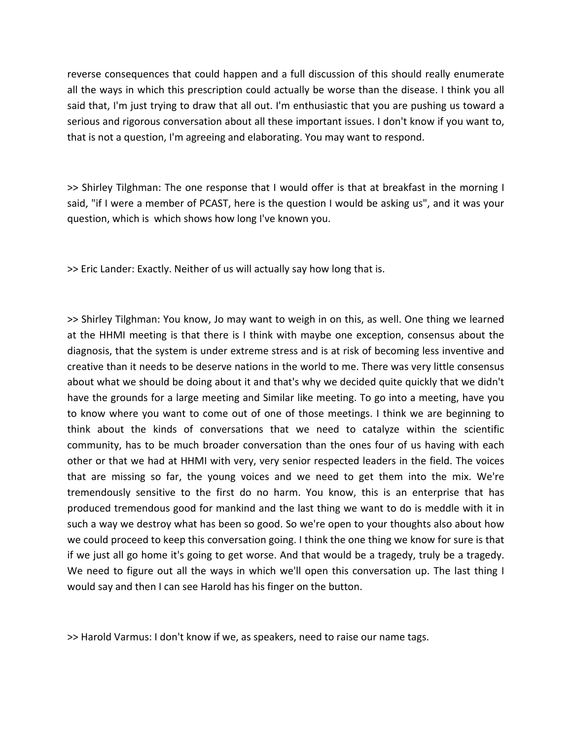reverse consequences that could happen and a full discussion of this should really enumerate all the ways in which this prescription could actually be worse than the disease. I think you all said that, I'm just trying to draw that all out. I'm enthusiastic that you are pushing us toward a serious and rigorous conversation about all these important issues. I don't know if you want to, that is not a question, I'm agreeing and elaborating. You may want to respond.

>> Shirley Tilghman: The one response that I would offer is that at breakfast in the morning I said, "if I were a member of PCAST, here is the question I would be asking us", and it was your question, which is which shows how long I've known you.

>> Eric Lander: Exactly. Neither of us will actually say how long that is.

>> Shirley Tilghman: You know, Jo may want to weigh in on this, as well. One thing we learned at the HHMI meeting is that there is I think with maybe one exception, consensus about the diagnosis, that the system is under extreme stress and is at risk of becoming less inventive and creative than it needs to be deserve nations in the world to me. There was very little consensus about what we should be doing about it and that's why we decided quite quickly that we didn't have the grounds for a large meeting and Similar like meeting. To go into a meeting, have you to know where you want to come out of one of those meetings. I think we are beginning to think about the kinds of conversations that we need to catalyze within the scientific community, has to be much broader conversation than the ones four of us having with each other or that we had at HHMI with very, very senior respected leaders in the field. The voices that are missing so far, the young voices and we need to get them into the mix. We're tremendously sensitive to the first do no harm. You know, this is an enterprise that has produced tremendous good for mankind and the last thing we want to do is meddle with it in such a way we destroy what has been so good. So we're open to your thoughts also about how we could proceed to keep this conversation going. I think the one thing we know for sure is that if we just all go home it's going to get worse. And that would be a tragedy, truly be a tragedy. We need to figure out all the ways in which we'll open this conversation up. The last thing I would say and then I can see Harold has his finger on the button.

>> Harold Varmus: I don't know if we, as speakers, need to raise our name tags.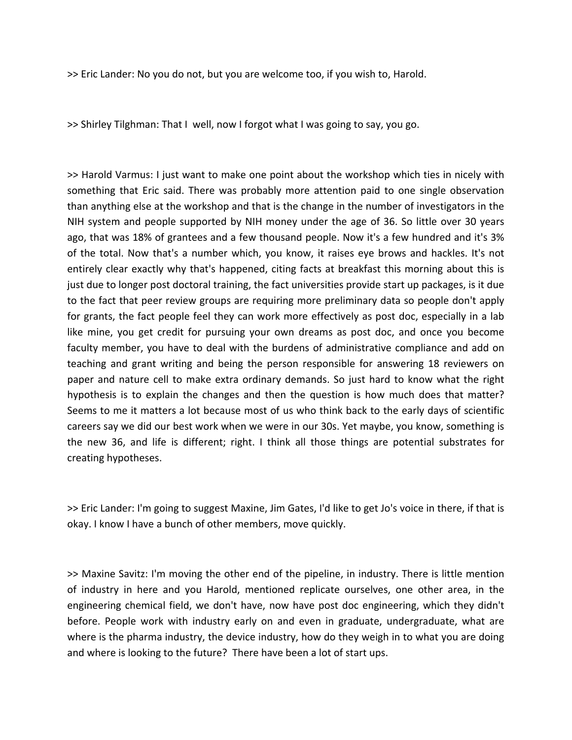>> Eric Lander: No you do not, but you are welcome too, if you wish to, Harold.

>> Shirley Tilghman: That I well, now I forgot what I was going to say, you go.

>> Harold Varmus: I just want to make one point about the workshop which ties in nicely with something that Eric said. There was probably more attention paid to one single observation than anything else at the workshop and that is the change in the number of investigators in the NIH system and people supported by NIH money under the age of 36. So little over 30 years ago, that was 18% of grantees and a few thousand people. Now it's a few hundred and it's 3% of the total. Now that's a number which, you know, it raises eye brows and hackles. It's not entirely clear exactly why that's happened, citing facts at breakfast this morning about this is just due to longer post doctoral training, the fact universities provide start up packages, is it due to the fact that peer review groups are requiring more preliminary data so people don't apply for grants, the fact people feel they can work more effectively as post doc, especially in a lab like mine, you get credit for pursuing your own dreams as post doc, and once you become faculty member, you have to deal with the burdens of administrative compliance and add on teaching and grant writing and being the person responsible for answering 18 reviewers on paper and nature cell to make extra ordinary demands. So just hard to know what the right hypothesis is to explain the changes and then the question is how much does that matter? Seems to me it matters a lot because most of us who think back to the early days of scientific careers say we did our best work when we were in our 30s. Yet maybe, you know, something is the new 36, and life is different; right. I think all those things are potential substrates for creating hypotheses.

>> Eric Lander: I'm going to suggest Maxine, Jim Gates, I'd like to get Jo's voice in there, if that is okay. I know I have a bunch of other members, move quickly.

>> Maxine Savitz: I'm moving the other end of the pipeline, in industry. There is little mention of industry in here and you Harold, mentioned replicate ourselves, one other area, in the engineering chemical field, we don't have, now have post doc engineering, which they didn't before. People work with industry early on and even in graduate, undergraduate, what are where is the pharma industry, the device industry, how do they weigh in to what you are doing and where is looking to the future? There have been a lot of start ups.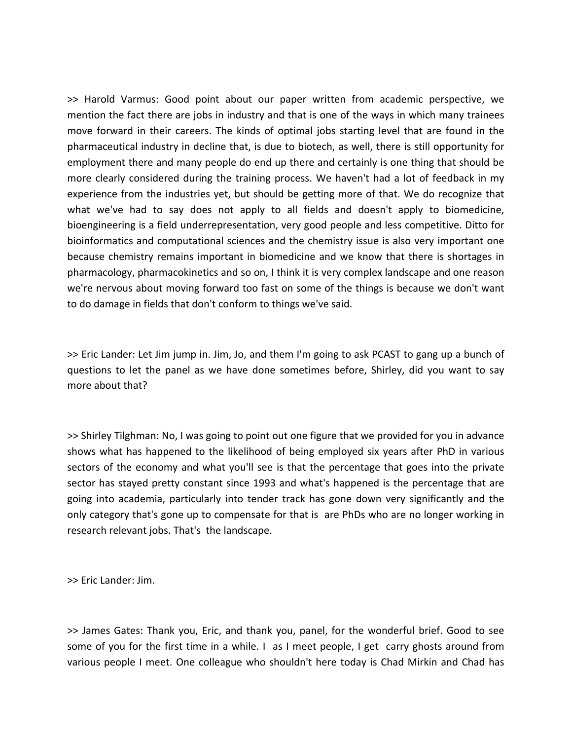>> Harold Varmus: Good point about our paper written from academic perspective, we mention the fact there are jobs in industry and that is one of the ways in which many trainees move forward in their careers. The kinds of optimal jobs starting level that are found in the pharmaceutical industry in decline that, is due to biotech, as well, there is still opportunity for employment there and many people do end up there and certainly is one thing that should be more clearly considered during the training process. We haven't had a lot of feedback in my experience from the industries yet, but should be getting more of that. We do recognize that what we've had to say does not apply to all fields and doesn't apply to biomedicine, bioengineering is a field underrepresentation, very good people and less competitive. Ditto for bioinformatics and computational sciences and the chemistry issue is also very important one because chemistry remains important in biomedicine and we know that there is shortages in pharmacology, pharmacokinetics and so on, I think it is very complex landscape and one reason we're nervous about moving forward too fast on some of the things is because we don't want to do damage in fields that don't conform to things we've said.

>> Eric Lander: Let Jim jump in. Jim, Jo, and them I'm going to ask PCAST to gang up a bunch of questions to let the panel as we have done sometimes before, Shirley, did you want to say more about that?

>> Shirley Tilghman: No, I was going to point out one figure that we provided for you in advance shows what has happened to the likelihood of being employed six years after PhD in various sectors of the economy and what you'll see is that the percentage that goes into the private sector has stayed pretty constant since 1993 and what's happened is the percentage that are going into academia, particularly into tender track has gone down very significantly and the only category that's gone up to compensate for that is are PhDs who are no longer working in research relevant jobs. That's the landscape.

>> Eric Lander: Jim.

>> James Gates: Thank you, Eric, and thank you, panel, for the wonderful brief. Good to see some of you for the first time in a while. I as I meet people, I get carry ghosts around from various people I meet. One colleague who shouldn't here today is Chad Mirkin and Chad has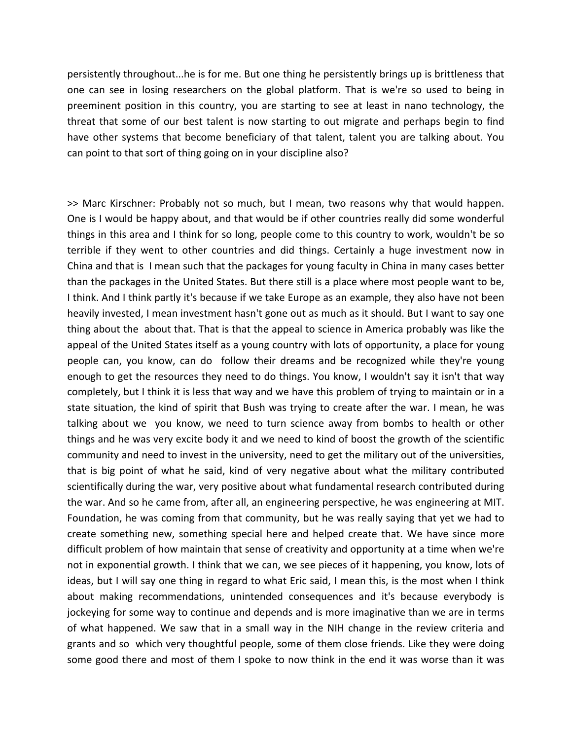persistently throughout...he is for me. But one thing he persistently brings up is brittleness that one can see in losing researchers on the global platform. That is we're so used to being in preeminent position in this country, you are starting to see at least in nano technology, the threat that some of our best talent is now starting to out migrate and perhaps begin to find have other systems that become beneficiary of that talent, talent you are talking about. You can point to that sort of thing going on in your discipline also?

>> Marc Kirschner: Probably not so much, but I mean, two reasons why that would happen. One is I would be happy about, and that would be if other countries really did some wonderful things in this area and I think for so long, people come to this country to work, wouldn't be so terrible if they went to other countries and did things. Certainly a huge investment now in China and that is I mean such that the packages for young faculty in China in many cases better than the packages in the United States. But there still is a place where most people want to be, I think. And I think partly it's because if we take Europe as an example, they also have not been heavily invested, I mean investment hasn't gone out as much as it should. But I want to say one thing about the about that. That is that the appeal to science in America probably was like the appeal of the United States itself as a young country with lots of opportunity, a place for young people can, you know, can do follow their dreams and be recognized while they're young enough to get the resources they need to do things. You know, I wouldn't say it isn't that way completely, but I think it is less that way and we have this problem of trying to maintain or in a state situation, the kind of spirit that Bush was trying to create after the war. I mean, he was talking about we you know, we need to turn science away from bombs to health or other things and he was very excite body it and we need to kind of boost the growth of the scientific community and need to invest in the university, need to get the military out of the universities, that is big point of what he said, kind of very negative about what the military contributed scientifically during the war, very positive about what fundamental research contributed during the war. And so he came from, after all, an engineering perspective, he was engineering at MIT. Foundation, he was coming from that community, but he was really saying that yet we had to create something new, something special here and helped create that. We have since more difficult problem of how maintain that sense of creativity and opportunity at a time when we're not in exponential growth. I think that we can, we see pieces of it happening, you know, lots of ideas, but I will say one thing in regard to what Eric said, I mean this, is the most when I think about making recommendations, unintended consequences and it's because everybody is jockeying for some way to continue and depends and is more imaginative than we are in terms of what happened. We saw that in a small way in the NIH change in the review criteria and grants and so which very thoughtful people, some of them close friends. Like they were doing some good there and most of them I spoke to now think in the end it was worse than it was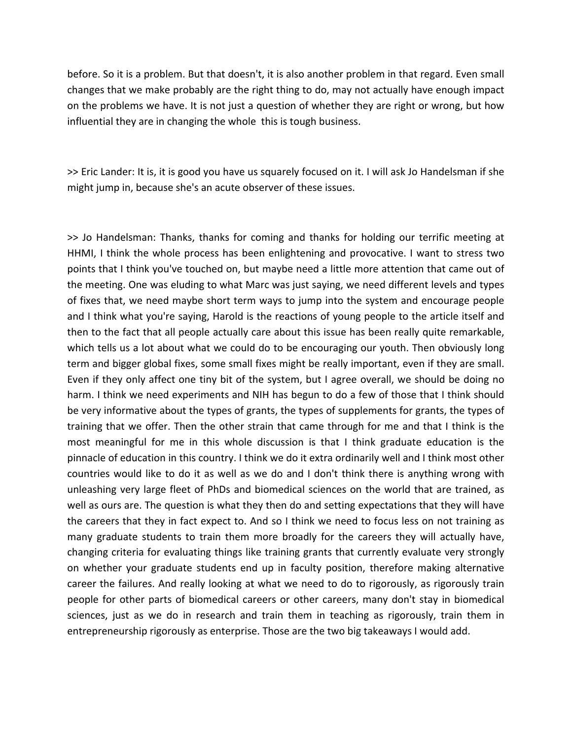before. So it is a problem. But that doesn't, it is also another problem in that regard. Even small changes that we make probably are the right thing to do, may not actually have enough impact on the problems we have. It is not just a question of whether they are right or wrong, but how influential they are in changing the whole this is tough business.

>> Eric Lander: It is, it is good you have us squarely focused on it. I will ask Jo Handelsman if she might jump in, because she's an acute observer of these issues.

>> Jo Handelsman: Thanks, thanks for coming and thanks for holding our terrific meeting at HHMI, I think the whole process has been enlightening and provocative. I want to stress two points that I think you've touched on, but maybe need a little more attention that came out of the meeting. One was eluding to what Marc was just saying, we need different levels and types of fixes that, we need maybe short term ways to jump into the system and encourage people and I think what you're saying, Harold is the reactions of young people to the article itself and then to the fact that all people actually care about this issue has been really quite remarkable, which tells us a lot about what we could do to be encouraging our youth. Then obviously long term and bigger global fixes, some small fixes might be really important, even if they are small. Even if they only affect one tiny bit of the system, but I agree overall, we should be doing no harm. I think we need experiments and NIH has begun to do a few of those that I think should be very informative about the types of grants, the types of supplements for grants, the types of training that we offer. Then the other strain that came through for me and that I think is the most meaningful for me in this whole discussion is that I think graduate education is the pinnacle of education in this country. I think we do it extra ordinarily well and I think most other countries would like to do it as well as we do and I don't think there is anything wrong with unleashing very large fleet of PhDs and biomedical sciences on the world that are trained, as well as ours are. The question is what they then do and setting expectations that they will have the careers that they in fact expect to. And so I think we need to focus less on not training as many graduate students to train them more broadly for the careers they will actually have, changing criteria for evaluating things like training grants that currently evaluate very strongly on whether your graduate students end up in faculty position, therefore making alternative career the failures. And really looking at what we need to do to rigorously, as rigorously train people for other parts of biomedical careers or other careers, many don't stay in biomedical sciences, just as we do in research and train them in teaching as rigorously, train them in entrepreneurship rigorously as enterprise. Those are the two big takeaways I would add.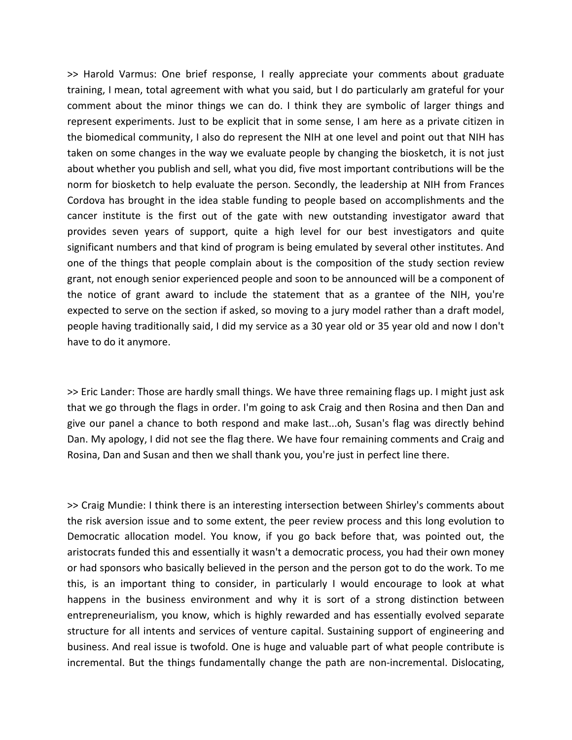>> Harold Varmus: One brief response, I really appreciate your comments about graduate training, I mean, total agreement with what you said, but I do particularly am grateful for your comment about the minor things we can do. I think they are symbolic of larger things and represent experiments. Just to be explicit that in some sense, I am here as a private citizen in the biomedical community, I also do represent the NIH at one level and point out that NIH has taken on some changes in the way we evaluate people by changing the biosketch, it is not just about whether you publish and sell, what you did, five most important contributions will be the norm for biosketch to help evaluate the person. Secondly, the leadership at NIH from Frances Cordova has brought in the idea stable funding to people based on accomplishments and the cancer institute is the first out of the gate with new outstanding investigator award that provides seven years of support, quite a high level for our best investigators and quite significant numbers and that kind of program is being emulated by several other institutes. And one of the things that people complain about is the composition of the study section review grant, not enough senior experienced people and soon to be announced will be a component of the notice of grant award to include the statement that as a grantee of the NIH, you're expected to serve on the section if asked, so moving to a jury model rather than a draft model, people having traditionally said, I did my service as a 30 year old or 35 year old and now I don't have to do it anymore.

>> Eric Lander: Those are hardly small things. We have three remaining flags up. I might just ask that we go through the flags in order. I'm going to ask Craig and then Rosina and then Dan and give our panel a chance to both respond and make last...oh, Susan's flag was directly behind Dan. My apology, I did not see the flag there. We have four remaining comments and Craig and Rosina, Dan and Susan and then we shall thank you, you're just in perfect line there.

>> Craig Mundie: I think there is an interesting intersection between Shirley's comments about the risk aversion issue and to some extent, the peer review process and this long evolution to Democratic allocation model. You know, if you go back before that, was pointed out, the aristocrats funded this and essentially it wasn't a democratic process, you had their own money or had sponsors who basically believed in the person and the person got to do the work. To me this, is an important thing to consider, in particularly I would encourage to look at what happens in the business environment and why it is sort of a strong distinction between entrepreneurialism, you know, which is highly rewarded and has essentially evolved separate structure for all intents and services of venture capital. Sustaining support of engineering and business. And real issue is twofold. One is huge and valuable part of what people contribute is incremental. But the things fundamentally change the path are non-incremental. Dislocating,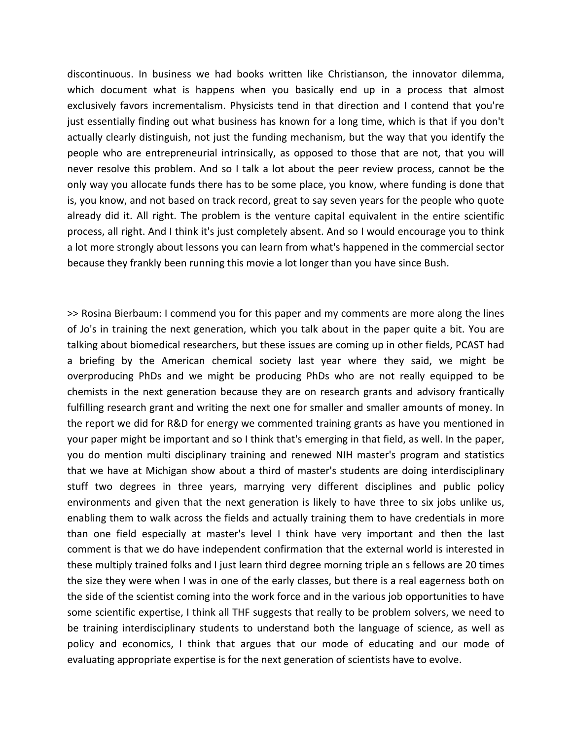discontinuous. In business we had books written like Christianson, the innovator dilemma, which document what is happens when you basically end up in a process that almost exclusively favors incrementalism. Physicists tend in that direction and I contend that you're just essentially finding out what business has known for a long time, which is that if you don't actually clearly distinguish, not just the funding mechanism, but the way that you identify the people who are entrepreneurial intrinsically, as opposed to those that are not, that you will never resolve this problem. And so I talk a lot about the peer review process, cannot be the only way you allocate funds there has to be some place, you know, where funding is done that is, you know, and not based on track record, great to say seven years for the people who quote already did it. All right. The problem is the venture capital equivalent in the entire scientific process, all right. And I think it's just completely absent. And so I would encourage you to think a lot more strongly about lessons you can learn from what's happened in the commercial sector because they frankly been running this movie a lot longer than you have since Bush.

>> Rosina Bierbaum: I commend you for this paper and my comments are more along the lines of Jo's in training the next generation, which you talk about in the paper quite a bit. You are talking about biomedical researchers, but these issues are coming up in other fields, PCAST had a briefing by the American chemical society last year where they said, we might be overproducing PhDs and we might be producing PhDs who are not really equipped to be chemists in the next generation because they are on research grants and advisory frantically fulfilling research grant and writing the next one for smaller and smaller amounts of money. In the report we did for R&D for energy we commented training grants as have you mentioned in your paper might be important and so I think that's emerging in that field, as well. In the paper, you do mention multi disciplinary training and renewed NIH master's program and statistics that we have at Michigan show about a third of master's students are doing interdisciplinary stuff two degrees in three years, marrying very different disciplines and public policy environments and given that the next generation is likely to have three to six jobs unlike us, enabling them to walk across the fields and actually training them to have credentials in more than one field especially at master's level I think have very important and then the last comment is that we do have independent confirmation that the external world is interested in these multiply trained folks and I just learn third degree morning triple an s fellows are 20 times the size they were when I was in one of the early classes, but there is a real eagerness both on the side of the scientist coming into the work force and in the various job opportunities to have some scientific expertise, I think all THF suggests that really to be problem solvers, we need to be training interdisciplinary students to understand both the language of science, as well as policy and economics, I think that argues that our mode of educating and our mode of evaluating appropriate expertise is for the next generation of scientists have to evolve.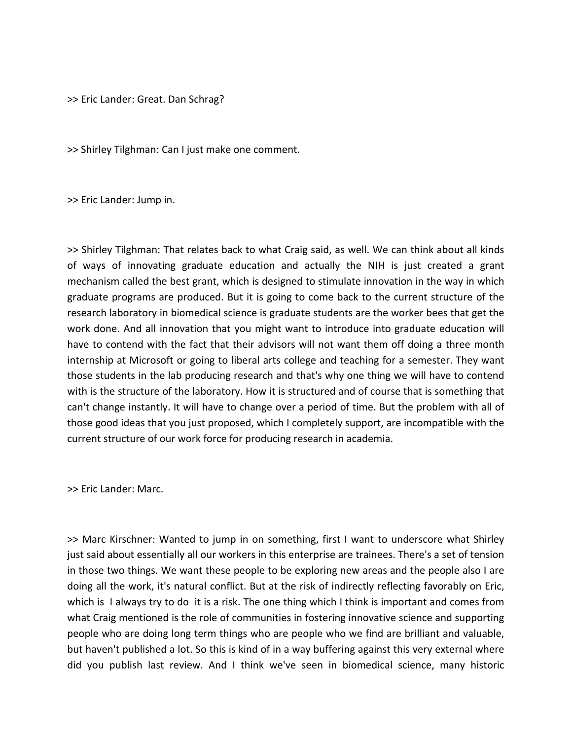>> Eric Lander: Great. Dan Schrag?

>> Shirley Tilghman: Can I just make one comment.

>> Eric Lander: Jump in.

>> Shirley Tilghman: That relates back to what Craig said, as well. We can think about all kinds of ways of innovating graduate education and actually the NIH is just created a grant mechanism called the best grant, which is designed to stimulate innovation in the way in which graduate programs are produced. But it is going to come back to the current structure of the research laboratory in biomedical science is graduate students are the worker bees that get the work done. And all innovation that you might want to introduce into graduate education will have to contend with the fact that their advisors will not want them off doing a three month internship at Microsoft or going to liberal arts college and teaching for a semester. They want those students in the lab producing research and that's why one thing we will have to contend with is the structure of the laboratory. How it is structured and of course that is something that can't change instantly. It will have to change over a period of time. But the problem with all of those good ideas that you just proposed, which I completely support, are incompatible with the current structure of our work force for producing research in academia.

>> Eric Lander: Marc.

>> Marc Kirschner: Wanted to jump in on something, first I want to underscore what Shirley just said about essentially all our workers in this enterprise are trainees. There's a set of tension in those two things. We want these people to be exploring new areas and the people also I are doing all the work, it's natural conflict. But at the risk of indirectly reflecting favorably on Eric, which is I always try to do it is a risk. The one thing which I think is important and comes from what Craig mentioned is the role of communities in fostering innovative science and supporting people who are doing long term things who are people who we find are brilliant and valuable, but haven't published a lot. So this is kind of in a way buffering against this very external where did you publish last review. And I think we've seen in biomedical science, many historic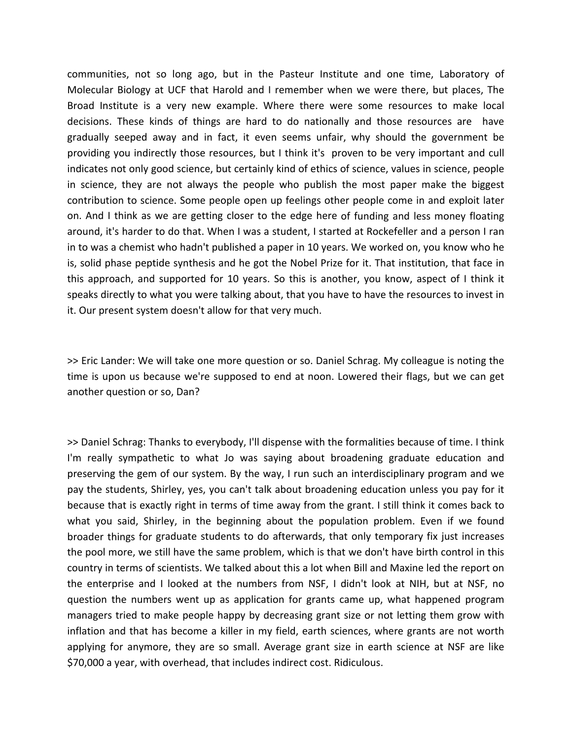communities, not so long ago, but in the Pasteur Institute and one time, Laboratory of Molecular Biology at UCF that Harold and I remember when we were there, but places, The Broad Institute is a very new example. Where there were some resources to make local decisions. These kinds of things are hard to do nationally and those resources are have gradually seeped away and in fact, it even seems unfair, why should the government be providing you indirectly those resources, but I think it's proven to be very important and cull indicates not only good science, but certainly kind of ethics of science, values in science, people in science, they are not always the people who publish the most paper make the biggest contribution to science. Some people open up feelings other people come in and exploit later on. And I think as we are getting closer to the edge here of funding and less money floating around, it's harder to do that. When I was a student, I started at Rockefeller and a person I ran in to was a chemist who hadn't published a paper in 10 years. We worked on, you know who he is, solid phase peptide synthesis and he got the Nobel Prize for it. That institution, that face in this approach, and supported for 10 years. So this is another, you know, aspect of I think it speaks directly to what you were talking about, that you have to have the resources to invest in it. Our present system doesn't allow for that very much.

>> Eric Lander: We will take one more question or so. Daniel Schrag. My colleague is noting the time is upon us because we're supposed to end at noon. Lowered their flags, but we can get another question or so, Dan?

>> Daniel Schrag: Thanks to everybody, I'll dispense with the formalities because of time. I think I'm really sympathetic to what Jo was saying about broadening graduate education and preserving the gem of our system. By the way, I run such an interdisciplinary program and we pay the students, Shirley, yes, you can't talk about broadening education unless you pay for it because that is exactly right in terms of time away from the grant. I still think it comes back to what you said, Shirley, in the beginning about the population problem. Even if we found broader things for graduate students to do afterwards, that only temporary fix just increases the pool more, we still have the same problem, which is that we don't have birth control in this country in terms of scientists. We talked about this a lot when Bill and Maxine led the report on the enterprise and I looked at the numbers from NSF, I didn't look at NIH, but at NSF, no question the numbers went up as application for grants came up, what happened program managers tried to make people happy by decreasing grant size or not letting them grow with inflation and that has become a killer in my field, earth sciences, where grants are not worth applying for anymore, they are so small. Average grant size in earth science at NSF are like \$70,000 a year, with overhead, that includes indirect cost. Ridiculous.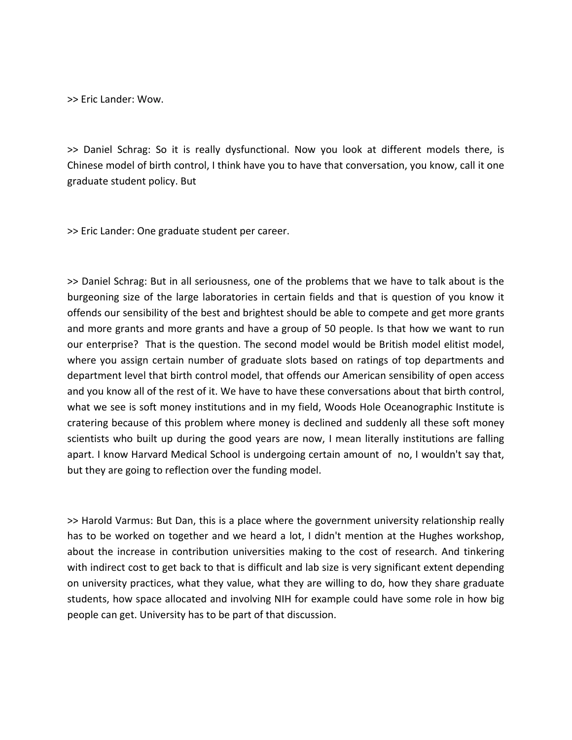>> Eric Lander: Wow.

>> Daniel Schrag: So it is really dysfunctional. Now you look at different models there, is Chinese model of birth control, I think have you to have that conversation, you know, call it one graduate student policy. But

>> Eric Lander: One graduate student per career.

>> Daniel Schrag: But in all seriousness, one of the problems that we have to talk about is the burgeoning size of the large laboratories in certain fields and that is question of you know it offends our sensibility of the best and brightest should be able to compete and get more grants and more grants and more grants and have a group of 50 people. Is that how we want to run our enterprise? That is the question. The second model would be British model elitist model, where you assign certain number of graduate slots based on ratings of top departments and department level that birth control model, that offends our American sensibility of open access and you know all of the rest of it. We have to have these conversations about that birth control, what we see is soft money institutions and in my field, Woods Hole Oceanographic Institute is cratering because of this problem where money is declined and suddenly all these soft money scientists who built up during the good years are now, I mean literally institutions are falling apart. I know Harvard Medical School is undergoing certain amount of no, I wouldn't say that, but they are going to reflection over the funding model.

>> Harold Varmus: But Dan, this is a place where the government university relationship really has to be worked on together and we heard a lot, I didn't mention at the Hughes workshop, about the increase in contribution universities making to the cost of research. And tinkering with indirect cost to get back to that is difficult and lab size is very significant extent depending on university practices, what they value, what they are willing to do, how they share graduate students, how space allocated and involving NIH for example could have some role in how big people can get. University has to be part of that discussion.